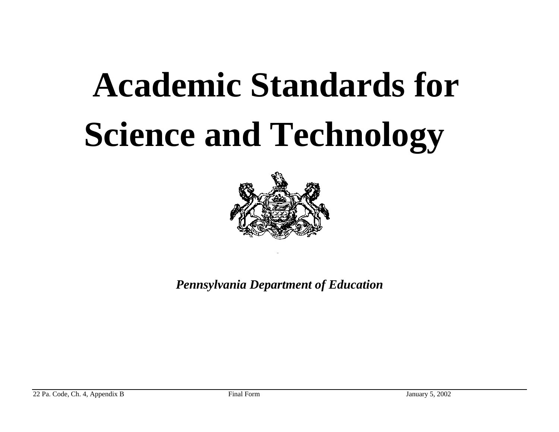

*Pennsylvania Department of Education*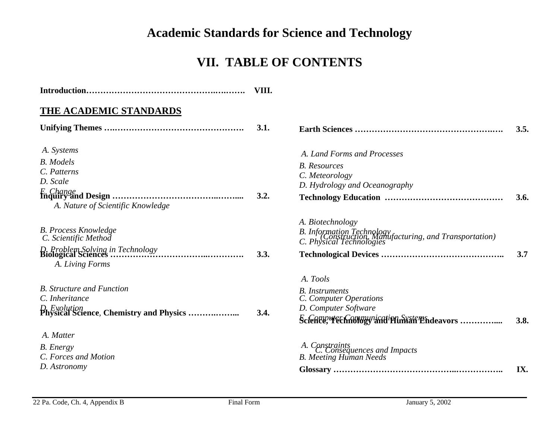#### **VII. TABLE OF CONTENTS**

|                                                                                                                                       | VIII. |                                                                                                                                 |      |
|---------------------------------------------------------------------------------------------------------------------------------------|-------|---------------------------------------------------------------------------------------------------------------------------------|------|
| THE ACADEMIC STANDARDS                                                                                                                |       |                                                                                                                                 |      |
|                                                                                                                                       | 3.1.  |                                                                                                                                 | 3.5. |
| A. Systems<br><b>B.</b> Models<br>C. Patterns<br>D. Scale<br>A. Nature of Scientific Knowledge                                        | 3.2.  | A. Land Forms and Processes<br><b>B.</b> Resources<br>C. Meteorology<br>D. Hydrology and Oceanography                           | 3.6. |
| <b>B. Process Knowledge</b><br>C. Scientific Method<br>D. Problem Solving in Technology<br>Biological Sciences<br><br>A. Living Forms | 3.3.  | A. Biotechnology<br>B. Information Technology<br>C. Physical Technologies<br>C. Physical Technologies                           | 3.7  |
| <b>B.</b> Structure and Function<br>C. Inheritance                                                                                    | 3.4.  | A. Tools<br><b>B.</b> Instruments<br>C. Computer Operations<br>D. Computer Software<br>Science, rechnology and Pluman Endeavors | 3.8. |
| A. Matter<br><b>B.</b> Energy<br>C. Forces and Motion<br>D. Astronomy                                                                 |       | A. Constraints<br>C. Consequences and Impacts<br><b>B.</b> Meeting Human Needs                                                  | IX.  |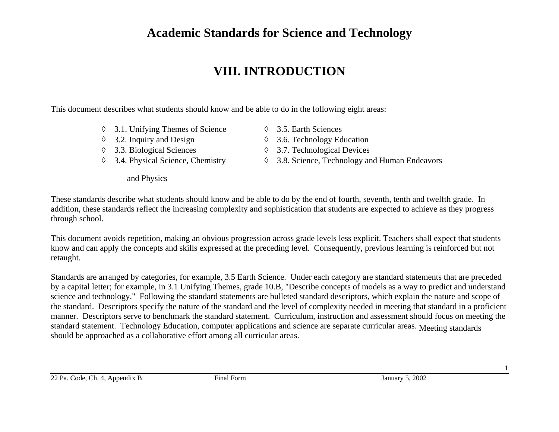## **VIII. INTRODUCTION**

This document describes what students should know and be able to do in the following eight areas:

- ◊ 3.1. Unifying Themes of Science
- ◊ 3.2. Inquiry and Design
- ◊ 3.3. Biological Sciences
- ◊ 3.4. Physical Science, Chemistry
	- and Physics
- ◊ 3.5. Earth Sciences
- ◊ 3.6. Technology Education
- ◊ 3.7. Technological Devices
- ◊ 3.8. Science, Technology and Human Endeavors

These standards describe what students should know and be able to do by the end of fourth, seventh, tenth and twelfth grade. In addition, these standards reflect the increasing complexity and sophistication that students are expected to achieve as they progress through school.

This document avoids repetition, making an obvious progression across grade levels less explicit. Teachers shall expect that students know and can apply the concepts and skills expressed at the preceding level. Consequently, previous learning is reinforced but not retaught.

Standards are arranged by categories, for example, 3.5 Earth Science. Under each category are standard statements that are preceded by a capital letter; for example, in 3.1 Unifying Themes, grade 10.B, "Describe concepts of models as a way to predict and understand science and technology." Following the standard statements are bulleted standard descriptors, which explain the nature and scope of the standard. Descriptors specify the nature of the standard and the level of complexity needed in meeting that standard in a proficient manner. Descriptors serve to benchmark the standard statement. Curriculum, instruction and assessment should focus on meeting the standard statement. Technology Education, computer applications and science are separate curricular areas. Meeting standards should be approached as a collaborative effort among all curricular areas.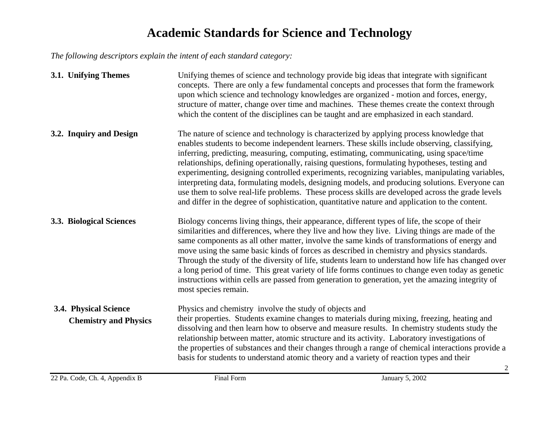*The following descriptors explain the intent of each standard category:* 

| 3.1. Unifying Themes                                  | Unifying themes of science and technology provide big ideas that integrate with significant<br>concepts. There are only a few fundamental concepts and processes that form the framework<br>upon which science and technology knowledges are organized - motion and forces, energy,<br>structure of matter, change over time and machines. These themes create the context through<br>which the content of the disciplines can be taught and are emphasized in each standard.                                                                                                                                                                                                                                                                                                                      |
|-------------------------------------------------------|----------------------------------------------------------------------------------------------------------------------------------------------------------------------------------------------------------------------------------------------------------------------------------------------------------------------------------------------------------------------------------------------------------------------------------------------------------------------------------------------------------------------------------------------------------------------------------------------------------------------------------------------------------------------------------------------------------------------------------------------------------------------------------------------------|
| 3.2. Inquiry and Design                               | The nature of science and technology is characterized by applying process knowledge that<br>enables students to become independent learners. These skills include observing, classifying,<br>inferring, predicting, measuring, computing, estimating, communicating, using space/time<br>relationships, defining operationally, raising questions, formulating hypotheses, testing and<br>experimenting, designing controlled experiments, recognizing variables, manipulating variables,<br>interpreting data, formulating models, designing models, and producing solutions. Everyone can<br>use them to solve real-life problems. These process skills are developed across the grade levels<br>and differ in the degree of sophistication, quantitative nature and application to the content. |
| 3.3. Biological Sciences                              | Biology concerns living things, their appearance, different types of life, the scope of their<br>similarities and differences, where they live and how they live. Living things are made of the<br>same components as all other matter, involve the same kinds of transformations of energy and<br>move using the same basic kinds of forces as described in chemistry and physics standards.<br>Through the study of the diversity of life, students learn to understand how life has changed over<br>a long period of time. This great variety of life forms continues to change even today as genetic<br>instructions within cells are passed from generation to generation, yet the amazing integrity of<br>most species remain.                                                               |
| 3.4. Physical Science<br><b>Chemistry and Physics</b> | Physics and chemistry involve the study of objects and<br>their properties. Students examine changes to materials during mixing, freezing, heating and<br>dissolving and then learn how to observe and measure results. In chemistry students study the<br>relationship between matter, atomic structure and its activity. Laboratory investigations of<br>the properties of substances and their changes through a range of chemical interactions provide a<br>basis for students to understand atomic theory and a variety of reaction types and their                                                                                                                                                                                                                                           |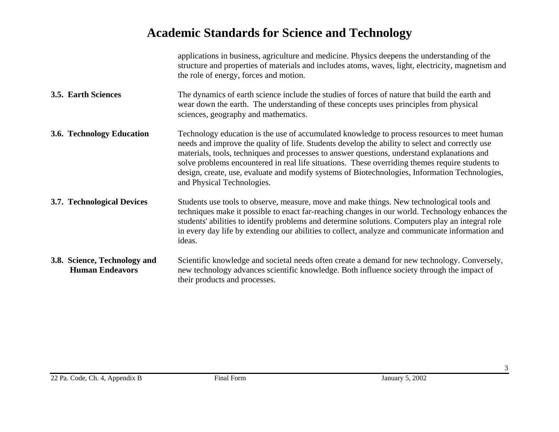|                                                        | applications in business, agriculture and medicine. Physics deepens the understanding of the<br>structure and properties of materials and includes atoms, waves, light, electricity, magnetism and<br>the role of energy, forces and motion.                                                                                                                                                                                                                                                                                     |
|--------------------------------------------------------|----------------------------------------------------------------------------------------------------------------------------------------------------------------------------------------------------------------------------------------------------------------------------------------------------------------------------------------------------------------------------------------------------------------------------------------------------------------------------------------------------------------------------------|
| 3.5. Earth Sciences                                    | The dynamics of earth science include the studies of forces of nature that build the earth and<br>wear down the earth. The understanding of these concepts uses principles from physical<br>sciences, geography and mathematics.                                                                                                                                                                                                                                                                                                 |
| 3.6. Technology Education                              | Technology education is the use of accumulated knowledge to process resources to meet human<br>needs and improve the quality of life. Students develop the ability to select and correctly use<br>materials, tools, techniques and processes to answer questions, understand explanations and<br>solve problems encountered in real life situations. These overriding themes require students to<br>design, create, use, evaluate and modify systems of Biotechnologies, Information Technologies,<br>and Physical Technologies. |
| 3.7. Technological Devices                             | Students use tools to observe, measure, move and make things. New technological tools and<br>techniques make it possible to enact far-reaching changes in our world. Technology enhances the<br>students' abilities to identify problems and determine solutions. Computers play an integral role<br>in every day life by extending our abilities to collect, analyze and communicate information and<br>ideas.                                                                                                                  |
| 3.8. Science, Technology and<br><b>Human Endeavors</b> | Scientific knowledge and societal needs often create a demand for new technology. Conversely,<br>new technology advances scientific knowledge. Both influence society through the impact of<br>their products and processes.                                                                                                                                                                                                                                                                                                     |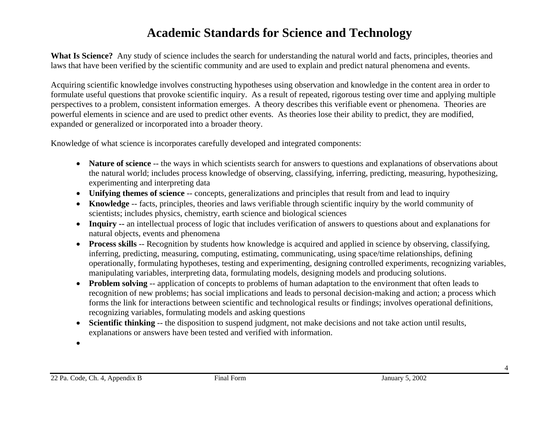**What Is Science?** Any study of science includes the search for understanding the natural world and facts, principles, theories and laws that have been verified by the scientific community and are used to explain and predict natural phenomena and events.

Acquiring scientific knowledge involves constructing hypotheses using observation and knowledge in the content area in order to formulate useful questions that provoke scientific inquiry. As a result of repeated, rigorous testing over time and applying multiple perspectives to a problem, consistent information emerges. A theory describes this verifiable event or phenomena. Theories are powerful elements in science and are used to predict other events. As theories lose their ability to predict, they are modified, expanded or generalized or incorporated into a broader theory.

Knowledge of what science is incorporates carefully developed and integrated components:

- **Nature of science** -- the ways in which scientists search for answers to questions and explanations of observations about the natural world; includes process knowledge of observing, classifying, inferring, predicting, measuring, hypothesizing, experimenting and interpreting data
- **Unifying themes of science** -- concepts, generalizations and principles that result from and lead to inquiry
- **Knowledge** -- facts, principles, theories and laws verifiable through scientific inquiry by the world community of scientists; includes physics, chemistry, earth science and biological sciences
- **Inquiry --** an intellectual process of logic that includes verification of answers to questions about and explanations for natural objects, events and phenomena
- **Process skills** -- Recognition by students how knowledge is acquired and applied in science by observing, classifying, inferring, predicting, measuring, computing, estimating, communicating, using space/time relationships, defining operationally, formulating hypotheses, testing and experimenting, designing controlled experiments, recognizing variables, manipulating variables, interpreting data, formulating models, designing models and producing solutions.
- **Problem solving** -- application of concepts to problems of human adaptation to the environment that often leads to recognition of new problems; has social implications and leads to personal decision-making and action; a process which forms the link for interactions between scientific and technological results or findings; involves operational definitions, recognizing variables, formulating models and asking questions
- **Scientific thinking** -- the disposition to suspend judgment, not make decisions and not take action until results, explanations or answers have been tested and verified with information.
- •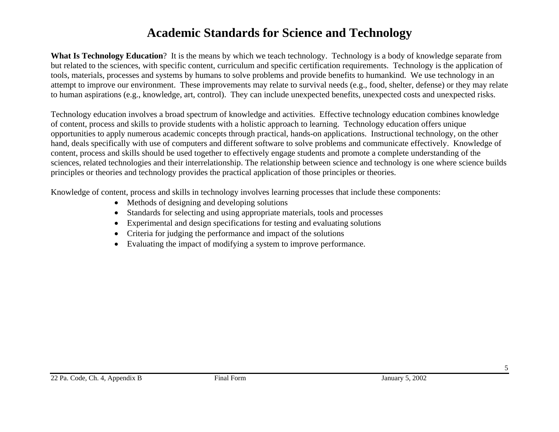**What Is Technology Education**? It is the means by which we teach technology. Technology is a body of knowledge separate from but related to the sciences, with specific content, curriculum and specific certification requirements. Technology is the application of tools, materials, processes and systems by humans to solve problems and provide benefits to humankind. We use technology in an attempt to improve our environment. These improvements may relate to survival needs (e.g., food, shelter, defense) or they may relate to human aspirations (e.g., knowledge, art, control). They can include unexpected benefits, unexpected costs and unexpected risks.

Technology education involves a broad spectrum of knowledge and activities. Effective technology education combines knowledge of content, process and skills to provide students with a holistic approach to learning. Technology education offers unique opportunities to apply numerous academic concepts through practical, hands-on applications. Instructional technology, on the other hand, deals specifically with use of computers and different software to solve problems and communicate effectively. Knowledge of content, process and skills should be used together to effectively engage students and promote a complete understanding of the sciences, related technologies and their interrelationship. The relationship between science and technology is one where science builds principles or theories and technology provides the practical application of those principles or theories.

Knowledge of content, process and skills in technology involves learning processes that include these components:

- Methods of designing and developing solutions
- Standards for selecting and using appropriate materials, tools and processes
- Experimental and design specifications for testing and evaluating solutions
- Criteria for judging the performance and impact of the solutions
- Evaluating the impact of modifying a system to improve performance.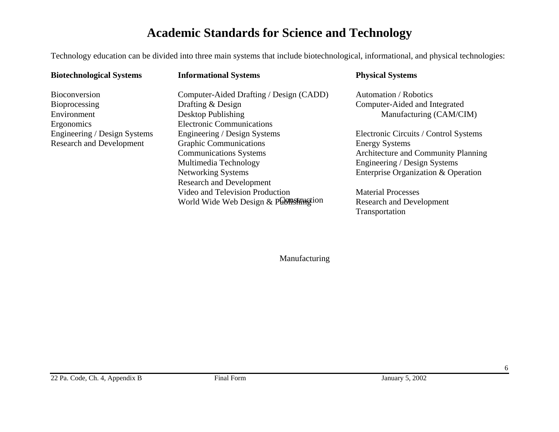Technology education can be divided into three main systems that include biotechnological, informational, and physical technologies:

| <b>Biotechnological Systems</b> | <b>Informational Systems</b>            | <b>Physical Systems</b>               |
|---------------------------------|-----------------------------------------|---------------------------------------|
| Bioconversion                   | Computer-Aided Drafting / Design (CADD) | Automation / Robotics                 |
| Bioprocessing                   | Drafting & Design                       | Computer-Aided and Integrated         |
| Environment                     | Desktop Publishing                      | Manufacturing (CAM/CIM)               |
| Ergonomics                      | <b>Electronic Communications</b>        |                                       |
| Engineering / Design Systems    | Engineering / Design Systems            | Electronic Circuits / Control Systems |
| <b>Research and Development</b> | <b>Graphic Communications</b>           | <b>Energy Systems</b>                 |
|                                 | <b>Communications Systems</b>           | Architecture and Community Planning   |
|                                 | Multimedia Technology                   | Engineering / Design Systems          |
|                                 | Networking Systems                      | Enterprise Organization & Operation   |
|                                 | <b>Research and Development</b>         |                                       |
|                                 | Video and Television Production         | <b>Material Processes</b>             |
|                                 | World Wide Web Design & Publishingtion  | <b>Research and Development</b>       |
|                                 |                                         | Transportation                        |

Manufacturing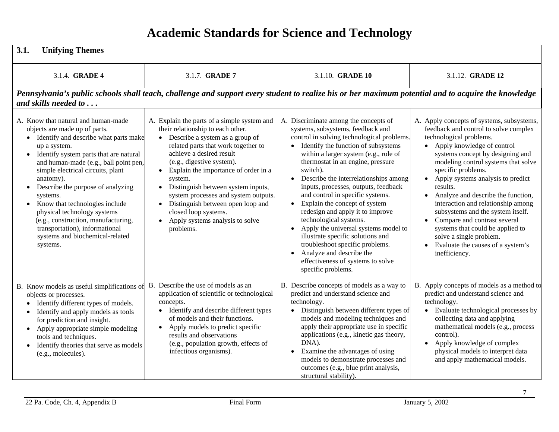| 3.1.<br><b>Unifying Themes</b>                                                                                                                                                                                                                                                                                                                                                                                                                                                                                                |                                                                                                                                                                                                                                                                                                                                                                                                                                                                                                                         |                                                                                                                                                                                                                                                                                                                                                                                                                                                                                                                                                                                                                                                                                                                                          |                                                                                                                                                                                                                                                                                                                                                                                                                                                                                                                                                                             |
|-------------------------------------------------------------------------------------------------------------------------------------------------------------------------------------------------------------------------------------------------------------------------------------------------------------------------------------------------------------------------------------------------------------------------------------------------------------------------------------------------------------------------------|-------------------------------------------------------------------------------------------------------------------------------------------------------------------------------------------------------------------------------------------------------------------------------------------------------------------------------------------------------------------------------------------------------------------------------------------------------------------------------------------------------------------------|------------------------------------------------------------------------------------------------------------------------------------------------------------------------------------------------------------------------------------------------------------------------------------------------------------------------------------------------------------------------------------------------------------------------------------------------------------------------------------------------------------------------------------------------------------------------------------------------------------------------------------------------------------------------------------------------------------------------------------------|-----------------------------------------------------------------------------------------------------------------------------------------------------------------------------------------------------------------------------------------------------------------------------------------------------------------------------------------------------------------------------------------------------------------------------------------------------------------------------------------------------------------------------------------------------------------------------|
| 3.1.4. GRADE 4                                                                                                                                                                                                                                                                                                                                                                                                                                                                                                                | 3.1.7. GRADE 7                                                                                                                                                                                                                                                                                                                                                                                                                                                                                                          | 3.1.10. <b>GRADE 10</b>                                                                                                                                                                                                                                                                                                                                                                                                                                                                                                                                                                                                                                                                                                                  | 3.1.12. <b>GRADE 12</b>                                                                                                                                                                                                                                                                                                                                                                                                                                                                                                                                                     |
| and skills needed to                                                                                                                                                                                                                                                                                                                                                                                                                                                                                                          |                                                                                                                                                                                                                                                                                                                                                                                                                                                                                                                         | Pennsylvania's public schools shall teach, challenge and support every student to realize his or her maximum potential and to acquire the knowledge                                                                                                                                                                                                                                                                                                                                                                                                                                                                                                                                                                                      |                                                                                                                                                                                                                                                                                                                                                                                                                                                                                                                                                                             |
| A. Know that natural and human-made<br>objects are made up of parts.<br>• Identify and describe what parts make<br>up a system.<br>• Identify system parts that are natural<br>and human-made (e.g., ball point pen,<br>simple electrical circuits, plant<br>anatomy).<br>Describe the purpose of analyzing<br>systems.<br>Know that technologies include<br>$\bullet$<br>physical technology systems<br>(e.g., construction, manufacturing,<br>transportation), informational<br>systems and biochemical-related<br>systems. | A. Explain the parts of a simple system and<br>their relationship to each other.<br>• Describe a system as a group of<br>related parts that work together to<br>achieve a desired result<br>(e.g., digestive system).<br>Explain the importance of order in a<br>$\bullet$<br>system.<br>Distinguish between system inputs,<br>$\bullet$<br>system processes and system outputs.<br>Distinguish between open loop and<br>$\bullet$<br>closed loop systems.<br>Apply systems analysis to solve<br>$\bullet$<br>problems. | A. Discriminate among the concepts of<br>systems, subsystems, feedback and<br>control in solving technological problems.<br>Identify the function of subsystems<br>$\bullet$<br>within a larger system (e.g., role of<br>thermostat in an engine, pressure<br>switch).<br>Describe the interrelationships among<br>$\bullet$<br>inputs, processes, outputs, feedback<br>and control in specific systems.<br>Explain the concept of system<br>$\bullet$<br>redesign and apply it to improve<br>technological systems.<br>Apply the universal systems model to<br>illustrate specific solutions and<br>troubleshoot specific problems.<br>Analyze and describe the<br>$\bullet$<br>effectiveness of systems to solve<br>specific problems. | A. Apply concepts of systems, subsystems,<br>feedback and control to solve complex<br>technological problems.<br>• Apply knowledge of control<br>systems concept by designing and<br>modeling control systems that solve<br>specific problems.<br>• Apply systems analysis to predict<br>results.<br>• Analyze and describe the function,<br>interaction and relationship among<br>subsystems and the system itself.<br>Compare and contrast several<br>systems that could be applied to<br>solve a single problem.<br>• Evaluate the causes of a system's<br>inefficiency. |
| B. Know models as useful simplifications of<br>objects or processes.<br>Identify different types of models.<br>$\bullet$<br>Identify and apply models as tools<br>$\bullet$<br>for prediction and insight.<br>• Apply appropriate simple modeling<br>tools and techniques.<br>Identify theories that serve as models<br>$\bullet$<br>(e.g., molecules).                                                                                                                                                                       | B. Describe the use of models as an<br>application of scientific or technological<br>concepts.<br>• Identify and describe different types<br>of models and their functions.<br>Apply models to predict specific<br>$\bullet$<br>results and observations<br>(e.g., population growth, effects of<br>infectious organisms).                                                                                                                                                                                              | B. Describe concepts of models as a way to<br>predict and understand science and<br>technology.<br>• Distinguish between different types of<br>models and modeling techniques and<br>apply their appropriate use in specific<br>applications (e.g., kinetic gas theory,<br>DNA).<br>Examine the advantages of using<br>$\bullet$<br>models to demonstrate processes and<br>outcomes (e.g., blue print analysis,<br>structural stability).                                                                                                                                                                                                                                                                                                | B. Apply concepts of models as a method to<br>predict and understand science and<br>technology.<br>• Evaluate technological processes by<br>collecting data and applying<br>mathematical models (e.g., process<br>control).<br>• Apply knowledge of complex<br>physical models to interpret data<br>and apply mathematical models.                                                                                                                                                                                                                                          |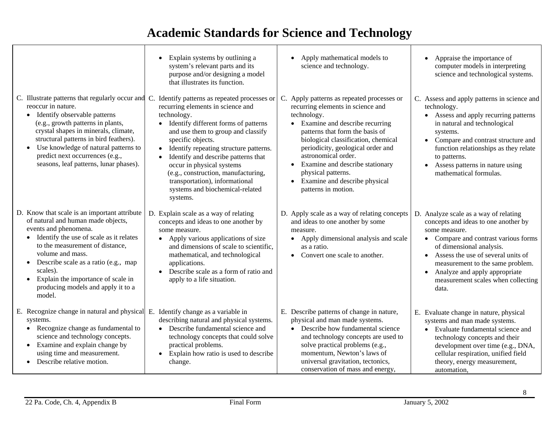|                                                                                                                                                                                                                                                                                                                                                                                                | Explain systems by outlining a<br>system's relevant parts and its<br>purpose and/or designing a model<br>that illustrates its function.                                                                                                                                                                                                                                                                                                                                                                   | Apply mathematical models to<br>$\bullet$<br>science and technology.                                                                                                                                                                                                                                                                                                                      | Appraise the importance of<br>computer models in interpreting<br>science and technological systems.                                                                                                                                                                                                                                         |
|------------------------------------------------------------------------------------------------------------------------------------------------------------------------------------------------------------------------------------------------------------------------------------------------------------------------------------------------------------------------------------------------|-----------------------------------------------------------------------------------------------------------------------------------------------------------------------------------------------------------------------------------------------------------------------------------------------------------------------------------------------------------------------------------------------------------------------------------------------------------------------------------------------------------|-------------------------------------------------------------------------------------------------------------------------------------------------------------------------------------------------------------------------------------------------------------------------------------------------------------------------------------------------------------------------------------------|---------------------------------------------------------------------------------------------------------------------------------------------------------------------------------------------------------------------------------------------------------------------------------------------------------------------------------------------|
| reoccur in nature.<br>Identify observable patterns<br>$\bullet$<br>(e.g., growth patterns in plants,<br>crystal shapes in minerals, climate,<br>structural patterns in bird feathers).<br>• Use knowledge of natural patterns to<br>predict next occurrences (e.g.,<br>seasons, leaf patterns, lunar phases).                                                                                  | C. Illustrate patterns that regularly occur and C. Identify patterns as repeated processes or<br>recurring elements in science and<br>technology.<br>• Identify different forms of patterns<br>and use them to group and classify<br>specific objects.<br>Identify repeating structure patterns.<br>$\bullet$<br>Identify and describe patterns that<br>occur in physical systems<br>(e.g., construction, manufacturing,<br>transportation), informational<br>systems and biochemical-related<br>systems. | C. Apply patterns as repeated processes or<br>recurring elements in science and<br>technology.<br>• Examine and describe recurring<br>patterns that form the basis of<br>biological classification, chemical<br>periodicity, geological order and<br>astronomical order.<br>Examine and describe stationary<br>physical patterns.<br>Examine and describe physical<br>patterns in motion. | C. Assess and apply patterns in science and<br>technology.<br>• Assess and apply recurring patterns<br>in natural and technological<br>systems.<br>Compare and contrast structure and<br>$\bullet$<br>function relationships as they relate<br>to patterns.<br>Assess patterns in nature using<br>$\bullet$<br>mathematical formulas.       |
| D. Know that scale is an important attribute<br>of natural and human made objects,<br>events and phenomena.<br>Identify the use of scale as it relates<br>$\bullet$<br>to the measurement of distance,<br>volume and mass.<br>Describe scale as a ratio (e.g., map<br>$\bullet$<br>scales).<br>Explain the importance of scale in<br>$\bullet$<br>producing models and apply it to a<br>model. | D. Explain scale as a way of relating<br>concepts and ideas to one another by<br>some measure.<br>Apply various applications of size<br>and dimensions of scale to scientific.<br>mathematical, and technological<br>applications.<br>Describe scale as a form of ratio and<br>apply to a life situation.                                                                                                                                                                                                 | D. Apply scale as a way of relating concepts<br>and ideas to one another by some<br>measure.<br>Apply dimensional analysis and scale<br>$\bullet$<br>as a ratio.<br>Convert one scale to another.                                                                                                                                                                                         | D. Analyze scale as a way of relating<br>concepts and ideas to one another by<br>some measure.<br>• Compare and contrast various forms<br>of dimensional analysis.<br>• Assess the use of several units of<br>measurement to the same problem.<br>Analyze and apply appropriate<br>$\bullet$<br>measurement scales when collecting<br>data. |
| E. Recognize change in natural and physical E. Identify change as a variable in<br>systems.<br>Recognize change as fundamental to<br>$\bullet$<br>science and technology concepts.<br>Examine and explain change by<br>$\bullet$<br>using time and measurement.<br>Describe relative motion.                                                                                                   | describing natural and physical systems.<br>• Describe fundamental science and<br>technology concepts that could solve<br>practical problems.<br>• Explain how ratio is used to describe<br>change.                                                                                                                                                                                                                                                                                                       | E. Describe patterns of change in nature,<br>physical and man made systems.<br>• Describe how fundamental science<br>and technology concepts are used to<br>solve practical problems (e.g.,<br>momentum, Newton's laws of<br>universal gravitation, tectonics,<br>conservation of mass and energy,                                                                                        | E. Evaluate change in nature, physical<br>systems and man made systems.<br>• Evaluate fundamental science and<br>technology concepts and their<br>development over time (e.g., DNA,<br>cellular respiration, unified field<br>theory, energy measurement,<br>automation,                                                                    |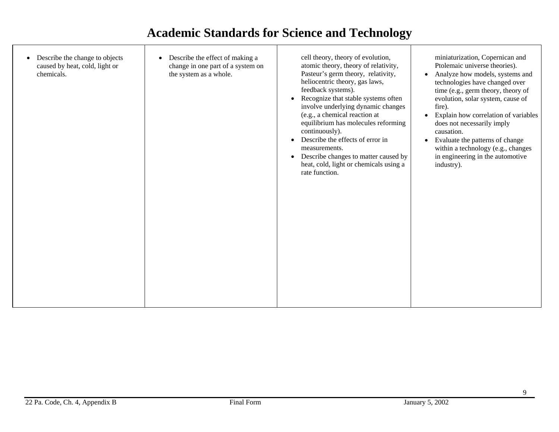| Ptolemaic universe theories).<br>atomic theory, theory of relativity,<br>change in one part of a system on<br>Pasteur's germ theory, relativity,<br>chemicals.<br>the system as a whole.<br>• Analyze how models, systems and<br>heliocentric theory, gas laws,<br>technologies have changed over<br>feedback systems).<br>time (e.g., germ theory, theory of<br>Recognize that stable systems often<br>evolution, solar system, cause of<br>involve underlying dynamic changes<br>fire).<br>(e.g., a chemical reaction at<br>Explain how correlation of variables<br>$\bullet$<br>equilibrium has molecules reforming<br>does not necessarily imply<br>continuously).<br>causation.<br>Describe the effects of error in<br>Evaluate the patterns of change<br>within a technology (e.g., changes<br>measurements.<br>in engineering in the automotive<br>Describe changes to matter caused by<br>$\bullet$<br>heat, cold, light or chemicals using a<br>industry).<br>rate function. | Describe the change to objects<br>caused by heat, cold, light or |
|---------------------------------------------------------------------------------------------------------------------------------------------------------------------------------------------------------------------------------------------------------------------------------------------------------------------------------------------------------------------------------------------------------------------------------------------------------------------------------------------------------------------------------------------------------------------------------------------------------------------------------------------------------------------------------------------------------------------------------------------------------------------------------------------------------------------------------------------------------------------------------------------------------------------------------------------------------------------------------------|------------------------------------------------------------------|
|---------------------------------------------------------------------------------------------------------------------------------------------------------------------------------------------------------------------------------------------------------------------------------------------------------------------------------------------------------------------------------------------------------------------------------------------------------------------------------------------------------------------------------------------------------------------------------------------------------------------------------------------------------------------------------------------------------------------------------------------------------------------------------------------------------------------------------------------------------------------------------------------------------------------------------------------------------------------------------------|------------------------------------------------------------------|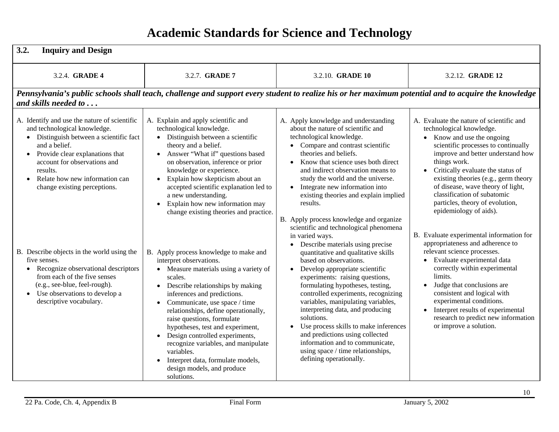| 3.2.<br><b>Inquiry and Design</b>                                                                                                                                                                                                                                                                                                                                                                                                                                                                                                                                  |                                                                                                                                                                                                                                                                                                                                                                                                                                                                                                                                                                                                                                                                                                           |                                                                                                                                                                                                                                                                                                                                                                                                                                                                                                                                                                                                                                                                                                                                                                                                                         |                                                                                                                                                                                                                                                                                                                                                                                                                                                                                                                                                                                                                                                                                                    |  |
|--------------------------------------------------------------------------------------------------------------------------------------------------------------------------------------------------------------------------------------------------------------------------------------------------------------------------------------------------------------------------------------------------------------------------------------------------------------------------------------------------------------------------------------------------------------------|-----------------------------------------------------------------------------------------------------------------------------------------------------------------------------------------------------------------------------------------------------------------------------------------------------------------------------------------------------------------------------------------------------------------------------------------------------------------------------------------------------------------------------------------------------------------------------------------------------------------------------------------------------------------------------------------------------------|-------------------------------------------------------------------------------------------------------------------------------------------------------------------------------------------------------------------------------------------------------------------------------------------------------------------------------------------------------------------------------------------------------------------------------------------------------------------------------------------------------------------------------------------------------------------------------------------------------------------------------------------------------------------------------------------------------------------------------------------------------------------------------------------------------------------------|----------------------------------------------------------------------------------------------------------------------------------------------------------------------------------------------------------------------------------------------------------------------------------------------------------------------------------------------------------------------------------------------------------------------------------------------------------------------------------------------------------------------------------------------------------------------------------------------------------------------------------------------------------------------------------------------------|--|
| 3.2.4. <b>GRADE 4</b>                                                                                                                                                                                                                                                                                                                                                                                                                                                                                                                                              | 3.2.7. <b>GRADE 7</b>                                                                                                                                                                                                                                                                                                                                                                                                                                                                                                                                                                                                                                                                                     | 3.2.10. <b>GRADE 10</b>                                                                                                                                                                                                                                                                                                                                                                                                                                                                                                                                                                                                                                                                                                                                                                                                 | 3.2.12. <b>GRADE 12</b>                                                                                                                                                                                                                                                                                                                                                                                                                                                                                                                                                                                                                                                                            |  |
|                                                                                                                                                                                                                                                                                                                                                                                                                                                                                                                                                                    |                                                                                                                                                                                                                                                                                                                                                                                                                                                                                                                                                                                                                                                                                                           | Pennsylvania's public schools shall teach, challenge and support every student to realize his or her maximum potential and to acquire the knowledge                                                                                                                                                                                                                                                                                                                                                                                                                                                                                                                                                                                                                                                                     |                                                                                                                                                                                                                                                                                                                                                                                                                                                                                                                                                                                                                                                                                                    |  |
| and skills needed to                                                                                                                                                                                                                                                                                                                                                                                                                                                                                                                                               |                                                                                                                                                                                                                                                                                                                                                                                                                                                                                                                                                                                                                                                                                                           |                                                                                                                                                                                                                                                                                                                                                                                                                                                                                                                                                                                                                                                                                                                                                                                                                         |                                                                                                                                                                                                                                                                                                                                                                                                                                                                                                                                                                                                                                                                                                    |  |
| A. Identify and use the nature of scientific<br>and technological knowledge.<br>• Distinguish between a scientific fact<br>and a belief.<br>Provide clear explanations that<br>$\bullet$<br>account for observations and<br>results.<br>Relate how new information can<br>$\bullet$<br>change existing perceptions.<br>B. Describe objects in the world using the<br>five senses.<br>Recognize observational descriptors<br>$\bullet$<br>from each of the five senses<br>(e.g., see-blue, feel-rough).<br>Use observations to develop a<br>descriptive vocabulary. | A. Explain and apply scientific and<br>technological knowledge.<br>• Distinguish between a scientific<br>theory and a belief.<br>Answer "What if" questions based<br>$\bullet$<br>on observation, inference or prior<br>knowledge or experience.<br>Explain how skepticism about an<br>$\bullet$<br>accepted scientific explanation led to<br>a new understanding.<br>Explain how new information may<br>$\bullet$<br>change existing theories and practice.<br>B. Apply process knowledge to make and<br>interpret observations.<br>• Measure materials using a variety of<br>scales.<br>• Describe relationships by making<br>inferences and predictions.<br>Communicate, use space / time<br>$\bullet$ | A. Apply knowledge and understanding<br>about the nature of scientific and<br>technological knowledge.<br>• Compare and contrast scientific<br>theories and beliefs.<br>Know that science uses both direct<br>$\bullet$<br>and indirect observation means to<br>study the world and the universe.<br>• Integrate new information into<br>existing theories and explain implied<br>results.<br>B. Apply process knowledge and organize<br>scientific and technological phenomena<br>in varied ways.<br>Describe materials using precise<br>$\bullet$<br>quantitative and qualitative skills<br>based on observations.<br>Develop appropriate scientific<br>$\bullet$<br>experiments: raising questions,<br>formulating hypotheses, testing,<br>controlled experiments, recognizing<br>variables, manipulating variables, | A. Evaluate the nature of scientific and<br>technological knowledge.<br>• Know and use the ongoing<br>scientific processes to continually<br>improve and better understand how<br>things work.<br>• Critically evaluate the status of<br>existing theories (e.g., germ theory<br>of disease, wave theory of light,<br>classification of subatomic<br>particles, theory of evolution,<br>epidemiology of aids).<br>B. Evaluate experimental information for<br>appropriateness and adherence to<br>relevant science processes.<br>• Evaluate experimental data<br>correctly within experimental<br>limits.<br>Judge that conclusions are<br>consistent and logical with<br>experimental conditions. |  |
|                                                                                                                                                                                                                                                                                                                                                                                                                                                                                                                                                                    | relationships, define operationally,<br>raise questions, formulate<br>hypotheses, test and experiment,<br>• Design controlled experiments,<br>recognize variables, and manipulate<br>variables.<br>Interpret data, formulate models,<br>design models, and produce<br>solutions.                                                                                                                                                                                                                                                                                                                                                                                                                          | interpreting data, and producing<br>solutions.<br>Use process skills to make inferences<br>$\bullet$<br>and predictions using collected<br>information and to communicate,<br>using space / time relationships,<br>defining operationally.                                                                                                                                                                                                                                                                                                                                                                                                                                                                                                                                                                              | Interpret results of experimental<br>$\bullet$<br>research to predict new information<br>or improve a solution.                                                                                                                                                                                                                                                                                                                                                                                                                                                                                                                                                                                    |  |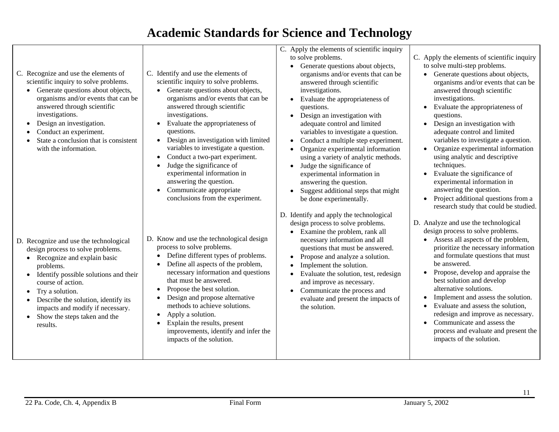- C. Recognize and use the elements of scientific inquiry to solve problems.
	- Generate questions about objects, organisms and/or events that can be answered through scientific investigations.
	- Design an investigation.
	- •Conduct an experiment.
	- • State a conclusion that is consistent with the information.

- D. Recognize and use the technological design process to solve problems.
	- Recognize and explain basic problems.
	- Identify possible solutions and their course of action.
	- Try a solution.
	- $\bullet$  Describe the solution, identify its impacts and modify if necessary.
	- Show the steps taken and the results.
- C. Identify and use the elements of scientific inquiry to solve problems.
	- Generate questions about objects, organisms and/or events that can be answered through scientific investigations.
	- Evaluate the appropriateness of questions.
	- Design an investigation with limited variables to investigate a question.
	- Conduct a two-part experiment.
	- Judge the significance of experimental information in answering the question.
	- Communicate appropriate conclusions from the experiment.
- D. Know and use the technological design process to solve problems.
	- Define different types of problems.
	- Define all aspects of the problem, necessary information and questions that must be answered.
	- Propose the best solution.
	- • Design and propose alternative methods to achieve solutions.
	- Apply a solution.
	- • Explain the results, present improvements, identify and infer the impacts of the solution.
- C. Apply the elements of scientific inquiry to solve problems.
	- Generate questions about objects, organisms and/or events that can be answered through scientific investigations.
	- • Evaluate the appropriateness of questions.
	- Design an investigation with adequate control and limited variables to investigate a question.
	- Conduct a multiple step experiment.
	- • Organize experimental information using a variety of analytic methods.
	- Judge the significance of experimental information in answering the question.
	- Suggest additional steps that might be done experimentally.
- D. Identify and apply the technological design process to solve problems.
	- Examine the problem, rank all necessary information and all questions that must be answered.
	- Propose and analyze a solution.
	- •Implement the solution.
	- Evaluate the solution, test, redesign and improve as necessary.
	- Communicate the process and evaluate and present the impacts of the solution.
- C. Apply the elements of scientific inquiry to solve multi-step problems.
	- Generate questions about objects, organisms and/or events that can be answered through scientific investigations.
	- Evaluate the appropriateness of questions.
	- Design an investigation with adequate control and limited variables to investigate a question.
	- Organize experimental information using analytic and descriptive techniques.
	- Evaluate the significance of experimental information in answering the question.
	- Project additional questions from a research study that could be studied.
- D. Analyze and use the technological design process to solve problems.
	- Assess all aspects of the problem, prioritize the necessary information and formulate questions that must be answered.
	- Propose, develop and appraise the best solution and develop alternative solutions.
	- Implement and assess the solution.
	- • Evaluate and assess the solution, redesign and improve as necessary.
	- Communicate and assess the process and evaluate and present the impacts of the solution.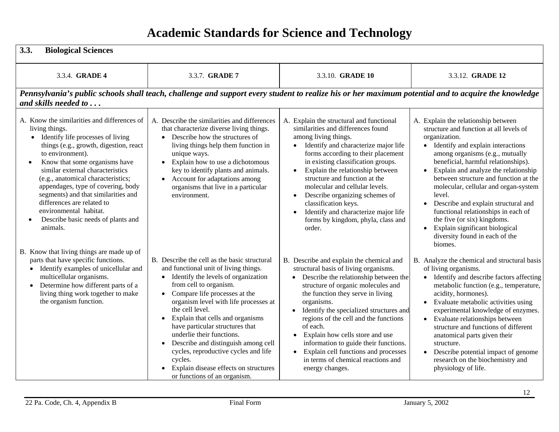| 3.3.<br><b>Biological Sciences</b>                                                                                                                                                                                                                                                                                                                                                                                                                                                                                           |                                                                                                                                                                                                                                                                                                                                                                                                                                                                                                                                                      |                                                                                                                                                                                                                                                                                                                                                                                                                                                                                                                                         |                                                                                                                                                                                                                                                                                                                                                                                                                                                                                                                                                            |
|------------------------------------------------------------------------------------------------------------------------------------------------------------------------------------------------------------------------------------------------------------------------------------------------------------------------------------------------------------------------------------------------------------------------------------------------------------------------------------------------------------------------------|------------------------------------------------------------------------------------------------------------------------------------------------------------------------------------------------------------------------------------------------------------------------------------------------------------------------------------------------------------------------------------------------------------------------------------------------------------------------------------------------------------------------------------------------------|-----------------------------------------------------------------------------------------------------------------------------------------------------------------------------------------------------------------------------------------------------------------------------------------------------------------------------------------------------------------------------------------------------------------------------------------------------------------------------------------------------------------------------------------|------------------------------------------------------------------------------------------------------------------------------------------------------------------------------------------------------------------------------------------------------------------------------------------------------------------------------------------------------------------------------------------------------------------------------------------------------------------------------------------------------------------------------------------------------------|
| 3.3.4. <b>GRADE 4</b>                                                                                                                                                                                                                                                                                                                                                                                                                                                                                                        | 3.3.7. GRADE 7                                                                                                                                                                                                                                                                                                                                                                                                                                                                                                                                       | 3.3.10. GRADE 10                                                                                                                                                                                                                                                                                                                                                                                                                                                                                                                        | 3.3.12. <b>GRADE 12</b>                                                                                                                                                                                                                                                                                                                                                                                                                                                                                                                                    |
|                                                                                                                                                                                                                                                                                                                                                                                                                                                                                                                              | Pennsylvania's public schools shall teach, challenge and support every student to realize his or her maximum potential and to acquire the knowledge                                                                                                                                                                                                                                                                                                                                                                                                  |                                                                                                                                                                                                                                                                                                                                                                                                                                                                                                                                         |                                                                                                                                                                                                                                                                                                                                                                                                                                                                                                                                                            |
| and skills needed to                                                                                                                                                                                                                                                                                                                                                                                                                                                                                                         |                                                                                                                                                                                                                                                                                                                                                                                                                                                                                                                                                      |                                                                                                                                                                                                                                                                                                                                                                                                                                                                                                                                         |                                                                                                                                                                                                                                                                                                                                                                                                                                                                                                                                                            |
| A. Know the similarities and differences of<br>living things.<br>Identify life processes of living<br>$\bullet$<br>things (e.g., growth, digestion, react<br>to environment).<br>Know that some organisms have<br>similar external characteristics<br>(e.g., anatomical characteristics;<br>appendages, type of covering, body<br>segments) and that similarities and<br>differences are related to<br>environmental habitat.<br>Describe basic needs of plants and<br>animals.<br>B. Know that living things are made up of | A. Describe the similarities and differences<br>that characterize diverse living things.<br>Describe how the structures of<br>$\bullet$<br>living things help them function in<br>unique ways.<br>Explain how to use a dichotomous<br>key to identify plants and animals.<br>Account for adaptations among<br>organisms that live in a particular<br>environment.                                                                                                                                                                                    | A. Explain the structural and functional<br>similarities and differences found<br>among living things.<br>Identify and characterize major life<br>$\bullet$<br>forms according to their placement<br>in existing classification groups.<br>Explain the relationship between<br>$\bullet$<br>structure and function at the<br>molecular and cellular levels.<br>Describe organizing schemes of<br>$\bullet$<br>classification keys.<br>Identify and characterize major life<br>$\bullet$<br>forms by kingdom, phyla, class and<br>order. | A. Explain the relationship between<br>structure and function at all levels of<br>organization.<br>Identify and explain interactions<br>$\bullet$<br>among organisms (e.g., mutually<br>beneficial, harmful relationships).<br>Explain and analyze the relationship<br>between structure and function at the<br>molecular, cellular and organ-system<br>level.<br>Describe and explain structural and<br>functional relationships in each of<br>the five (or six) kingdoms.<br>Explain significant biological<br>diversity found in each of the<br>biomes. |
| parts that have specific functions.<br>• Identify examples of unicellular and<br>multicellular organisms.<br>Determine how different parts of a<br>$\bullet$<br>living thing work together to make<br>the organism function.                                                                                                                                                                                                                                                                                                 | B. Describe the cell as the basic structural<br>and functional unit of living things.<br>Identify the levels of organization<br>$\bullet$<br>from cell to organism.<br>Compare life processes at the<br>organism level with life processes at<br>the cell level.<br>Explain that cells and organisms<br>$\bullet$<br>have particular structures that<br>underlie their functions.<br>Describe and distinguish among cell<br>cycles, reproductive cycles and life<br>cycles.<br>Explain disease effects on structures<br>or functions of an organism. | B. Describe and explain the chemical and<br>structural basis of living organisms.<br>Describe the relationship between the<br>$\bullet$<br>structure of organic molecules and<br>the function they serve in living<br>organisms.<br>Identify the specialized structures and<br>regions of the cell and the functions<br>of each.<br>Explain how cells store and use<br>$\bullet$<br>information to guide their functions.<br>Explain cell functions and processes<br>in terms of chemical reactions and<br>energy changes.              | B. Analyze the chemical and structural basis<br>of living organisms.<br>Identify and describe factors affecting<br>metabolic function (e.g., temperature,<br>acidity, hormones).<br>Evaluate metabolic activities using<br>experimental knowledge of enzymes.<br>Evaluate relationships between<br>structure and functions of different<br>anatomical parts given their<br>structure.<br>Describe potential impact of genome<br>research on the biochemistry and<br>physiology of life.                                                                    |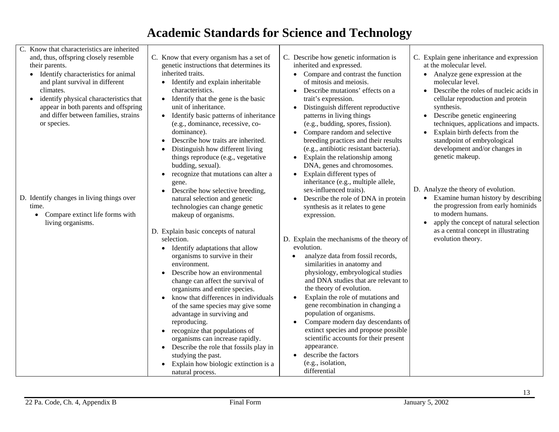C. Know that characteristics are inherited and, thus, offspring closely resemble their parents. • Identify characteristics for animal and plant survival in different climates. • identify physical characteristics that appear in both parents and offspring and differ between families, strains or species. D. Identify changes in living things over time. • Compare extinct life forms with living organisms. C. Know that every organism has a set of genetic instructions that determines its inherited traits. • Identify and explain inheritable characteristics. • Identify that the gene is the basic unit of inheritance. • Identify basic patterns of inheritance (e.g., dominance, recessive, codominance). • Describe how traits are inherited. • Distinguish how different living things reproduce (e.g., vegetative budding, sexual). • recognize that mutations can alter a gene. • Describe how selective breeding, natural selection and genetic technologies can change genetic makeup of organisms. D. Explain basic concepts of natural selection. • Identify adaptations that allow organisms to survive in their environment. • Describe how an environmental change can affect the survival of organisms and entire species.  $\bullet$  know that differences in individuals of the same species may give some advantage in surviving and reproducing. • recognize that populations of organisms can increase rapidly. • Describe the role that fossils play in studying the past. • Explain how biologic extinction is a natural process. C. Describe how genetic information is inherited and expressed. • Compare and contrast the function of mitosis and meiosis. • Describe mutations' effects on a trait's expression. • Distinguish different reproductive patterns in living things (e.g., budding, spores, fission). • Compare random and selective breeding practices and their results (e.g., antibiotic resistant bacteria). • Explain the relationship among DNA, genes and chromosomes. • Explain different types of inheritance (e.g., multiple allele, sex-influenced traits). • Describe the role of DNA in protein synthesis as it relates to gene expression. D. Explain the mechanisms of the theory of evolution. • analyze data from fossil records, similarities in anatomy and physiology, embryological studies and DNA studies that are relevant to the theory of evolution. • Explain the role of mutations and gene recombination in changing a population of organisms. • Compare modern day descendants of extinct species and propose possible scientific accounts for their present appearance. • describe the factors (e.g., isolation, differential C. Explain gene inheritance and expression at the molecular level. • Analyze gene expression at the molecular level. • Describe the roles of nucleic acids in cellular reproduction and protein synthesis. • Describe genetic engineering techniques, applications and impacts. • Explain birth defects from the standpoint of embryological development and/or changes in genetic makeup. D. Analyze the theory of evolution. • Examine human history by describing the progression from early hominids to modern humans. • apply the concept of natural selection as a central concept in illustrating evolution theory.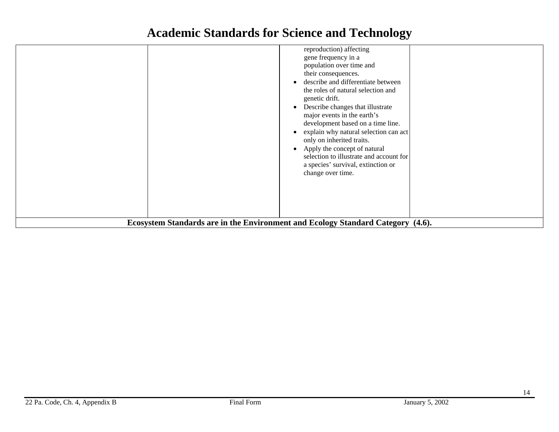|                                                                                 | reproduction) affecting<br>gene frequency in a<br>population over time and<br>their consequences.<br>describe and differentiate between<br>$\bullet$<br>the roles of natural selection and<br>genetic drift.<br>Describe changes that illustrate<br>$\bullet$<br>major events in the earth's<br>development based on a time line.<br>explain why natural selection can act<br>$\bullet$<br>only on inherited traits.<br>Apply the concept of natural<br>$\bullet$<br>selection to illustrate and account for<br>a species' survival, extinction or<br>change over time. |  |  |
|---------------------------------------------------------------------------------|-------------------------------------------------------------------------------------------------------------------------------------------------------------------------------------------------------------------------------------------------------------------------------------------------------------------------------------------------------------------------------------------------------------------------------------------------------------------------------------------------------------------------------------------------------------------------|--|--|
| Ecosystem Standards are in the Environment and Ecology Standard Category (4.6). |                                                                                                                                                                                                                                                                                                                                                                                                                                                                                                                                                                         |  |  |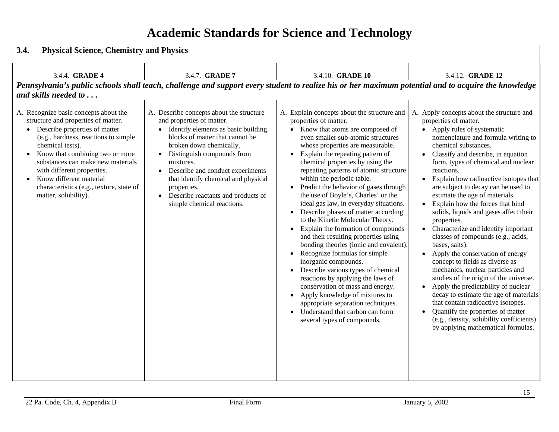| 3.4.<br><b>Physical Science, Chemistry and Physics</b>                                                                                                                                                                                                                                                                                                                         |                                                                                                                                                                                                                                                                                                                                                                                                               |                                                                                                                                                                                                                                                                                                                                                                                                                                                                                                                                                                                                                                                                                                                                                                                                                                                                                                                                                                                                                                                                               |                                                                                                                                                                                                                                                                                                                                                                                                                                                                                                                                                                                                                                                                                                                                                                                                                                                                                                                                                                                             |
|--------------------------------------------------------------------------------------------------------------------------------------------------------------------------------------------------------------------------------------------------------------------------------------------------------------------------------------------------------------------------------|---------------------------------------------------------------------------------------------------------------------------------------------------------------------------------------------------------------------------------------------------------------------------------------------------------------------------------------------------------------------------------------------------------------|-------------------------------------------------------------------------------------------------------------------------------------------------------------------------------------------------------------------------------------------------------------------------------------------------------------------------------------------------------------------------------------------------------------------------------------------------------------------------------------------------------------------------------------------------------------------------------------------------------------------------------------------------------------------------------------------------------------------------------------------------------------------------------------------------------------------------------------------------------------------------------------------------------------------------------------------------------------------------------------------------------------------------------------------------------------------------------|---------------------------------------------------------------------------------------------------------------------------------------------------------------------------------------------------------------------------------------------------------------------------------------------------------------------------------------------------------------------------------------------------------------------------------------------------------------------------------------------------------------------------------------------------------------------------------------------------------------------------------------------------------------------------------------------------------------------------------------------------------------------------------------------------------------------------------------------------------------------------------------------------------------------------------------------------------------------------------------------|
| 3.4.4. <b>GRADE 4</b>                                                                                                                                                                                                                                                                                                                                                          | 3.4.7. <b>GRADE 7</b>                                                                                                                                                                                                                                                                                                                                                                                         | 3.4.10. <b>GRADE 10</b>                                                                                                                                                                                                                                                                                                                                                                                                                                                                                                                                                                                                                                                                                                                                                                                                                                                                                                                                                                                                                                                       | 3.4.12. <b>GRADE 12</b>                                                                                                                                                                                                                                                                                                                                                                                                                                                                                                                                                                                                                                                                                                                                                                                                                                                                                                                                                                     |
|                                                                                                                                                                                                                                                                                                                                                                                |                                                                                                                                                                                                                                                                                                                                                                                                               | Pennsylvania's public schools shall teach, challenge and support every student to realize his or her maximum potential and to acquire the knowledge                                                                                                                                                                                                                                                                                                                                                                                                                                                                                                                                                                                                                                                                                                                                                                                                                                                                                                                           |                                                                                                                                                                                                                                                                                                                                                                                                                                                                                                                                                                                                                                                                                                                                                                                                                                                                                                                                                                                             |
| and skills needed to                                                                                                                                                                                                                                                                                                                                                           |                                                                                                                                                                                                                                                                                                                                                                                                               |                                                                                                                                                                                                                                                                                                                                                                                                                                                                                                                                                                                                                                                                                                                                                                                                                                                                                                                                                                                                                                                                               |                                                                                                                                                                                                                                                                                                                                                                                                                                                                                                                                                                                                                                                                                                                                                                                                                                                                                                                                                                                             |
| A. Recognize basic concepts about the<br>structure and properties of matter.<br>Describe properties of matter<br>(e.g., hardness, reactions to simple<br>chemical tests).<br>Know that combining two or more<br>substances can make new materials<br>with different properties.<br>Know different material<br>characteristics (e.g., texture, state of<br>matter, solubility). | A. Describe concepts about the structure<br>and properties of matter.<br>Identify elements as basic building<br>blocks of matter that cannot be<br>broken down chemically.<br>Distinguish compounds from<br>$\bullet$<br>mixtures.<br>Describe and conduct experiments<br>that identify chemical and physical<br>properties.<br>Describe reactants and products of<br>$\bullet$<br>simple chemical reactions. | A. Explain concepts about the structure and<br>properties of matter.<br>• Know that atoms are composed of<br>even smaller sub-atomic structures<br>whose properties are measurable.<br>Explain the repeating pattern of<br>$\bullet$<br>chemical properties by using the<br>repeating patterns of atomic structure<br>within the periodic table.<br>Predict the behavior of gases through<br>the use of Boyle's, Charles' or the<br>ideal gas law, in everyday situations.<br>Describe phases of matter according<br>$\bullet$<br>to the Kinetic Molecular Theory.<br>Explain the formation of compounds<br>$\bullet$<br>and their resulting properties using<br>bonding theories (ionic and covalent).<br>Recognize formulas for simple<br>$\bullet$<br>inorganic compounds.<br>Describe various types of chemical<br>$\bullet$<br>reactions by applying the laws of<br>conservation of mass and energy.<br>Apply knowledge of mixtures to<br>$\bullet$<br>appropriate separation techniques.<br>Understand that carbon can form<br>$\bullet$<br>several types of compounds. | A. Apply concepts about the structure and<br>properties of matter.<br>• Apply rules of systematic<br>nomenclature and formula writing to<br>chemical substances.<br>• Classify and describe, in equation<br>form, types of chemical and nuclear<br>reactions.<br>Explain how radioactive isotopes that<br>are subject to decay can be used to<br>estimate the age of materials.<br>Explain how the forces that bind<br>solids, liquids and gases affect their<br>properties.<br>Characterize and identify important<br>classes of compounds (e.g., acids,<br>bases, salts).<br>Apply the conservation of energy<br>$\bullet$<br>concept to fields as diverse as<br>mechanics, nuclear particles and<br>studies of the origin of the universe.<br>Apply the predictability of nuclear<br>decay to estimate the age of materials<br>that contain radioactive isotopes.<br>Quantify the properties of matter<br>(e.g., density, solubility coefficients)<br>by applying mathematical formulas. |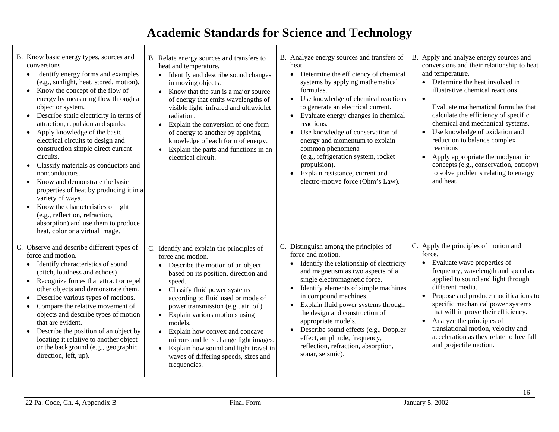| B. Know basic energy types, sources and<br>conversions.<br>Identify energy forms and examples<br>(e.g., sunlight, heat, stored, motion).<br>Know the concept of the flow of<br>$\bullet$<br>energy by measuring flow through an<br>object or system.<br>Describe static electricity in terms of<br>attraction, repulsion and sparks.<br>• Apply knowledge of the basic<br>electrical circuits to design and<br>construction simple direct current<br>circuits.<br>Classify materials as conductors and<br>nonconductors.<br>Know and demonstrate the basic<br>properties of heat by producing it in a<br>variety of ways.<br>Know the characteristics of light<br>$\bullet$<br>(e.g., reflection, refraction,<br>absorption) and use them to produce<br>heat, color or a virtual image. | B. Relate energy sources and transfers to<br>heat and temperature.<br>Identify and describe sound changes<br>$\bullet$<br>in moving objects.<br>Know that the sun is a major source<br>$\bullet$<br>of energy that emits wavelengths of<br>visible light, infrared and ultraviolet<br>radiation.<br>Explain the conversion of one form<br>$\bullet$<br>of energy to another by applying<br>knowledge of each form of energy.<br>Explain the parts and functions in an<br>$\bullet$<br>electrical circuit.                  | B. Analyze energy sources and transfers of<br>heat.<br>• Determine the efficiency of chemical<br>systems by applying mathematical<br>formulas.<br>• Use knowledge of chemical reactions<br>to generate an electrical current.<br>• Evaluate energy changes in chemical<br>reactions.<br>Use knowledge of conservation of<br>$\bullet$<br>energy and momentum to explain<br>common phenomena<br>(e.g., refrigeration system, rocket<br>propulsion).<br>Explain resistance, current and<br>$\bullet$<br>electro-motive force (Ohm's Law). | B. Apply and analyze energy sources and<br>conversions and their relationship to heat<br>and temperature.<br>Determine the heat involved in<br>$\bullet$<br>illustrative chemical reactions.<br>$\bullet$<br>Evaluate mathematical formulas that<br>calculate the efficiency of specific<br>chemical and mechanical systems.<br>Use knowledge of oxidation and<br>$\bullet$<br>reduction to balance complex<br>reactions<br>Apply appropriate thermodynamic<br>$\bullet$<br>concepts (e.g., conservation, entropy)<br>to solve problems relating to energy<br>and heat. |
|-----------------------------------------------------------------------------------------------------------------------------------------------------------------------------------------------------------------------------------------------------------------------------------------------------------------------------------------------------------------------------------------------------------------------------------------------------------------------------------------------------------------------------------------------------------------------------------------------------------------------------------------------------------------------------------------------------------------------------------------------------------------------------------------|----------------------------------------------------------------------------------------------------------------------------------------------------------------------------------------------------------------------------------------------------------------------------------------------------------------------------------------------------------------------------------------------------------------------------------------------------------------------------------------------------------------------------|-----------------------------------------------------------------------------------------------------------------------------------------------------------------------------------------------------------------------------------------------------------------------------------------------------------------------------------------------------------------------------------------------------------------------------------------------------------------------------------------------------------------------------------------|-------------------------------------------------------------------------------------------------------------------------------------------------------------------------------------------------------------------------------------------------------------------------------------------------------------------------------------------------------------------------------------------------------------------------------------------------------------------------------------------------------------------------------------------------------------------------|
| C. Observe and describe different types of<br>force and motion.<br>• Identify characteristics of sound<br>(pitch, loudness and echoes)<br>Recognize forces that attract or repel<br>$\bullet$<br>other objects and demonstrate them.<br>Describe various types of motions.<br>Compare the relative movement of<br>objects and describe types of motion<br>that are evident.<br>Describe the position of an object by<br>$\bullet$<br>locating it relative to another object<br>or the background (e.g., geographic<br>direction, left, up).                                                                                                                                                                                                                                             | C. Identify and explain the principles of<br>force and motion.<br>Describe the motion of an object<br>$\bullet$<br>based on its position, direction and<br>speed.<br>• Classify fluid power systems<br>according to fluid used or mode of<br>power transmission (e.g., air, oil).<br>• Explain various motions using<br>models.<br>• Explain how convex and concave<br>mirrors and lens change light images.<br>Explain how sound and light travel in<br>$\bullet$<br>waves of differing speeds, sizes and<br>frequencies. | C. Distinguish among the principles of<br>force and motion.<br>Identify the relationship of electricity<br>and magnetism as two aspects of a<br>single electromagnetic force.<br>Identify elements of simple machines<br>in compound machines.<br>Explain fluid power systems through<br>the design and construction of<br>appropriate models.<br>• Describe sound effects (e.g., Doppler<br>effect, amplitude, frequency,<br>reflection, refraction, absorption,<br>sonar, seismic).                                                   | C. Apply the principles of motion and<br>force.<br>Evaluate wave properties of<br>$\bullet$<br>frequency, wavelength and speed as<br>applied to sound and light through<br>different media.<br>Propose and produce modifications to<br>specific mechanical power systems<br>that will improve their efficiency.<br>Analyze the principles of<br>$\bullet$<br>translational motion, velocity and<br>acceleration as they relate to free fall<br>and projectile motion.                                                                                                   |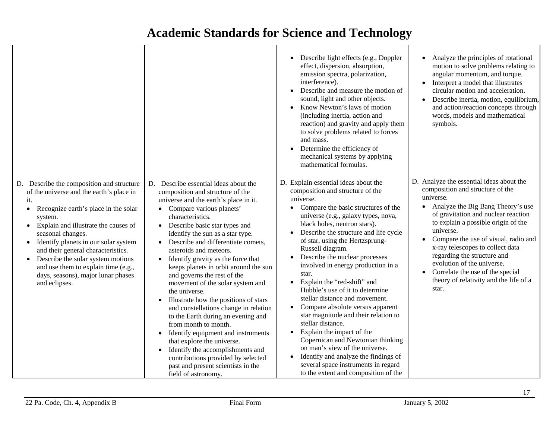|                                                                                                                                                                                                                                                                                                                                                                                                                                                                        |                                                                                                                                                                                                                                                                                                                                                                                                                                                                                                                                                                                                                                                                                                                                                                                                                                                                                    | Describe light effects (e.g., Doppler<br>effect, dispersion, absorption,<br>emission spectra, polarization,<br>interference).<br>Describe and measure the motion of<br>sound, light and other objects.<br>Know Newton's laws of motion<br>(including inertia, action and<br>reaction) and gravity and apply them<br>to solve problems related to forces<br>and mass.<br>Determine the efficiency of<br>mechanical systems by applying<br>mathematical formulas.                                                                                                                                                                                                                                                                                                                                                      | Analyze the principles of rotational<br>motion to solve problems relating to<br>angular momentum, and torque.<br>• Interpret a model that illustrates<br>circular motion and acceleration.<br>Describe inertia, motion, equilibrium,<br>$\bullet$<br>and action/reaction concepts through<br>words, models and mathematical<br>symbols.                                                                                                                                             |
|------------------------------------------------------------------------------------------------------------------------------------------------------------------------------------------------------------------------------------------------------------------------------------------------------------------------------------------------------------------------------------------------------------------------------------------------------------------------|------------------------------------------------------------------------------------------------------------------------------------------------------------------------------------------------------------------------------------------------------------------------------------------------------------------------------------------------------------------------------------------------------------------------------------------------------------------------------------------------------------------------------------------------------------------------------------------------------------------------------------------------------------------------------------------------------------------------------------------------------------------------------------------------------------------------------------------------------------------------------------|----------------------------------------------------------------------------------------------------------------------------------------------------------------------------------------------------------------------------------------------------------------------------------------------------------------------------------------------------------------------------------------------------------------------------------------------------------------------------------------------------------------------------------------------------------------------------------------------------------------------------------------------------------------------------------------------------------------------------------------------------------------------------------------------------------------------|-------------------------------------------------------------------------------------------------------------------------------------------------------------------------------------------------------------------------------------------------------------------------------------------------------------------------------------------------------------------------------------------------------------------------------------------------------------------------------------|
| D. Describe the composition and structure<br>of the universe and the earth's place in<br>it.<br>Recognize earth's place in the solar<br>$\bullet$<br>system.<br>Explain and illustrate the causes of<br>$\bullet$<br>seasonal changes.<br>• Identify planets in our solar system<br>and their general characteristics.<br>Describe the solar system motions<br>$\bullet$<br>and use them to explain time (e.g.,<br>days, seasons), major lunar phases<br>and eclipses. | D. Describe essential ideas about the<br>composition and structure of the<br>universe and the earth's place in it.<br>• Compare various planets'<br>characteristics.<br>Describe basic star types and<br>$\bullet$<br>identify the sun as a star type.<br>• Describe and differentiate comets,<br>asteroids and meteors.<br>• Identify gravity as the force that<br>keeps planets in orbit around the sun<br>and governs the rest of the<br>movement of the solar system and<br>the universe.<br>Illustrate how the positions of stars<br>and constellations change in relation<br>to the Earth during an evening and<br>from month to month.<br>Identify equipment and instruments<br>$\bullet$<br>that explore the universe.<br>Identify the accomplishments and<br>$\bullet$<br>contributions provided by selected<br>past and present scientists in the<br>field of astronomy. | D. Explain essential ideas about the<br>composition and structure of the<br>universe.<br>Compare the basic structures of the<br>universe (e.g., galaxy types, nova,<br>black holes, neutron stars).<br>Describe the structure and life cycle<br>of star, using the Hertzsprung-<br>Russell diagram.<br>Describe the nuclear processes<br>involved in energy production in a<br>star.<br>Explain the "red-shift" and<br>Hubble's use of it to determine<br>stellar distance and movement.<br>Compare absolute versus apparent<br>star magnitude and their relation to<br>stellar distance.<br>Explain the impact of the<br>Copernican and Newtonian thinking<br>on man's view of the universe.<br>Identify and analyze the findings of<br>several space instruments in regard<br>to the extent and composition of the | D. Analyze the essential ideas about the<br>composition and structure of the<br>universe.<br>Analyze the Big Bang Theory's use<br>$\bullet$<br>of gravitation and nuclear reaction<br>to explain a possible origin of the<br>universe.<br>Compare the use of visual, radio and<br>x-ray telescopes to collect data<br>regarding the structure and<br>evolution of the universe.<br>Correlate the use of the special<br>$\bullet$<br>theory of relativity and the life of a<br>star. |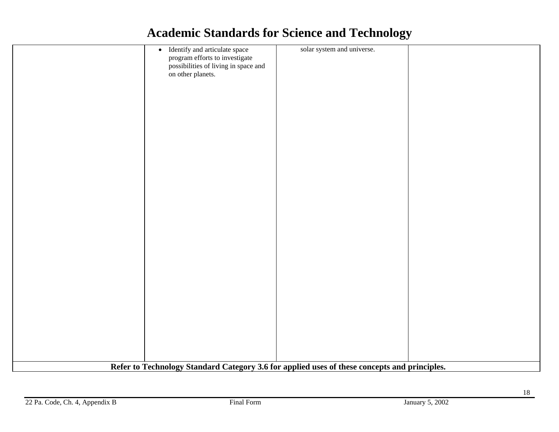|                                                                                              | • Identify and articulate space      | solar system and universe. |  |
|----------------------------------------------------------------------------------------------|--------------------------------------|----------------------------|--|
|                                                                                              | program efforts to investigate       |                            |  |
|                                                                                              |                                      |                            |  |
|                                                                                              | possibilities of living in space and |                            |  |
|                                                                                              | on other planets.                    |                            |  |
|                                                                                              |                                      |                            |  |
|                                                                                              |                                      |                            |  |
|                                                                                              |                                      |                            |  |
|                                                                                              |                                      |                            |  |
|                                                                                              |                                      |                            |  |
|                                                                                              |                                      |                            |  |
|                                                                                              |                                      |                            |  |
|                                                                                              |                                      |                            |  |
|                                                                                              |                                      |                            |  |
|                                                                                              |                                      |                            |  |
|                                                                                              |                                      |                            |  |
|                                                                                              |                                      |                            |  |
|                                                                                              |                                      |                            |  |
|                                                                                              |                                      |                            |  |
|                                                                                              |                                      |                            |  |
|                                                                                              |                                      |                            |  |
|                                                                                              |                                      |                            |  |
|                                                                                              |                                      |                            |  |
|                                                                                              |                                      |                            |  |
|                                                                                              |                                      |                            |  |
|                                                                                              |                                      |                            |  |
|                                                                                              |                                      |                            |  |
|                                                                                              |                                      |                            |  |
|                                                                                              |                                      |                            |  |
|                                                                                              |                                      |                            |  |
|                                                                                              |                                      |                            |  |
|                                                                                              |                                      |                            |  |
|                                                                                              |                                      |                            |  |
|                                                                                              |                                      |                            |  |
|                                                                                              |                                      |                            |  |
|                                                                                              |                                      |                            |  |
|                                                                                              |                                      |                            |  |
|                                                                                              |                                      |                            |  |
|                                                                                              |                                      |                            |  |
|                                                                                              |                                      |                            |  |
|                                                                                              |                                      |                            |  |
|                                                                                              |                                      |                            |  |
|                                                                                              |                                      |                            |  |
|                                                                                              |                                      |                            |  |
|                                                                                              |                                      |                            |  |
|                                                                                              |                                      |                            |  |
| Refer to Technology Standard Category 3.6 for applied uses of these concepts and principles. |                                      |                            |  |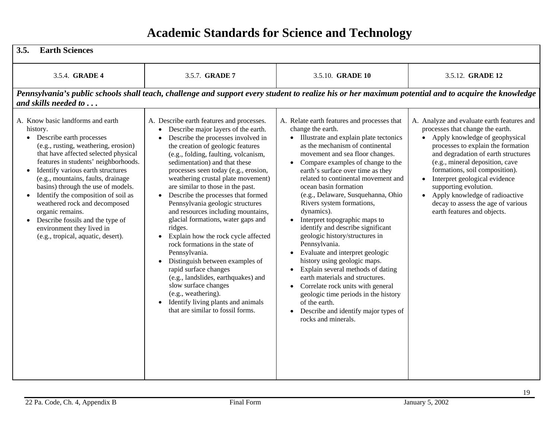| 3.5.<br><b>Earth Sciences</b>                                                                                                                                                                                                                                                                                                                                                                                                                                                                                                      |                                                                                                                                                                                                                                                                                                                                                                                                                                                                                                                                                                                                                                                                                                                                                                                                                                                                 |                                                                                                                                                                                                                                                                                                                                                                                                                                                                                                                                                                                                                                                                                                                                                                                                                                                                                       |                                                                                                                                                                                                                                                                                                                                                                                                                                                    |
|------------------------------------------------------------------------------------------------------------------------------------------------------------------------------------------------------------------------------------------------------------------------------------------------------------------------------------------------------------------------------------------------------------------------------------------------------------------------------------------------------------------------------------|-----------------------------------------------------------------------------------------------------------------------------------------------------------------------------------------------------------------------------------------------------------------------------------------------------------------------------------------------------------------------------------------------------------------------------------------------------------------------------------------------------------------------------------------------------------------------------------------------------------------------------------------------------------------------------------------------------------------------------------------------------------------------------------------------------------------------------------------------------------------|---------------------------------------------------------------------------------------------------------------------------------------------------------------------------------------------------------------------------------------------------------------------------------------------------------------------------------------------------------------------------------------------------------------------------------------------------------------------------------------------------------------------------------------------------------------------------------------------------------------------------------------------------------------------------------------------------------------------------------------------------------------------------------------------------------------------------------------------------------------------------------------|----------------------------------------------------------------------------------------------------------------------------------------------------------------------------------------------------------------------------------------------------------------------------------------------------------------------------------------------------------------------------------------------------------------------------------------------------|
| 3.5.4. GRADE 4                                                                                                                                                                                                                                                                                                                                                                                                                                                                                                                     | 3.5.7. GRADE 7                                                                                                                                                                                                                                                                                                                                                                                                                                                                                                                                                                                                                                                                                                                                                                                                                                                  | 3.5.10. GRADE 10                                                                                                                                                                                                                                                                                                                                                                                                                                                                                                                                                                                                                                                                                                                                                                                                                                                                      | 3.5.12. <b>GRADE 12</b>                                                                                                                                                                                                                                                                                                                                                                                                                            |
| and skills needed to                                                                                                                                                                                                                                                                                                                                                                                                                                                                                                               |                                                                                                                                                                                                                                                                                                                                                                                                                                                                                                                                                                                                                                                                                                                                                                                                                                                                 | Pennsylvania's public schools shall teach, challenge and support every student to realize his or her maximum potential and to acquire the knowledge                                                                                                                                                                                                                                                                                                                                                                                                                                                                                                                                                                                                                                                                                                                                   |                                                                                                                                                                                                                                                                                                                                                                                                                                                    |
| A. Know basic landforms and earth<br>history.<br>Describe earth processes<br>$\bullet$<br>(e.g., rusting, weathering, erosion)<br>that have affected selected physical<br>features in students' neighborhoods.<br>Identify various earth structures<br>(e.g., mountains, faults, drainage<br>basins) through the use of models.<br>Identify the composition of soil as<br>weathered rock and decomposed<br>organic remains.<br>Describe fossils and the type of<br>environment they lived in<br>(e.g., tropical, aquatic, desert). | A. Describe earth features and processes.<br>Describe major layers of the earth.<br>Describe the processes involved in<br>the creation of geologic features<br>(e.g., folding, faulting, volcanism,<br>sedimentation) and that these<br>processes seen today (e.g., erosion,<br>weathering crustal plate movement)<br>are similar to those in the past.<br>• Describe the processes that formed<br>Pennsylvania geologic structures<br>and resources including mountains,<br>glacial formations, water gaps and<br>ridges.<br>Explain how the rock cycle affected<br>rock formations in the state of<br>Pennsylvania.<br>Distinguish between examples of<br>rapid surface changes<br>(e.g., landslides, earthquakes) and<br>slow surface changes<br>(e.g., weathering).<br>Identify living plants and animals<br>$\bullet$<br>that are similar to fossil forms. | A. Relate earth features and processes that<br>change the earth.<br>• Illustrate and explain plate tectonics<br>as the mechanism of continental<br>movement and sea floor changes.<br>Compare examples of change to the<br>$\bullet$<br>earth's surface over time as they<br>related to continental movement and<br>ocean basin formation<br>(e.g., Delaware, Susquehanna, Ohio<br>Rivers system formations,<br>dynamics).<br>Interpret topographic maps to<br>identify and describe significant<br>geologic history/structures in<br>Pennsylvania.<br>Evaluate and interpret geologic<br>$\bullet$<br>history using geologic maps.<br>Explain several methods of dating<br>$\bullet$<br>earth materials and structures.<br>Correlate rock units with general<br>geologic time periods in the history<br>of the earth.<br>Describe and identify major types of<br>rocks and minerals. | A. Analyze and evaluate earth features and<br>processes that change the earth.<br>Apply knowledge of geophysical<br>$\bullet$<br>processes to explain the formation<br>and degradation of earth structures<br>(e.g., mineral deposition, cave<br>formations, soil composition).<br>Interpret geological evidence<br>supporting evolution.<br>• Apply knowledge of radioactive<br>decay to assess the age of various<br>earth features and objects. |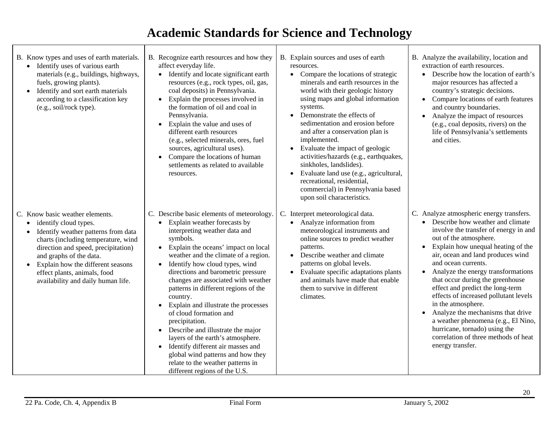- B. Know types and uses of earth materials.
	- Identify uses of various earth materials (e.g., buildings, highways, fuels, growing plants).
	- Identify and sort earth materials according to a classification key (e.g., soil/rock type).

- C. Know basic weather elements.
	- identify cloud types.
	- Identify weather patterns from data charts (including temperature, wind direction and speed, precipitation) and graphs of the data.
	- • Explain how the different seasons effect plants, animals, food availability and daily human life.
- B. Recognize earth resources and how they affect everyday life.
	- Identify and locate significant earth resources (e.g., rock types, oil, gas, coal deposits) in Pennsylvania.
	- Explain the processes involved in the formation of oil and coal in Pennsylvania.
	- Explain the value and uses of different earth resources (e.g., selected minerals, ores, fuel sources, agricultural uses).
	- Compare the locations of human settlements as related to available resources.
- C. Describe basic elements of meteorology.
	- Explain weather forecasts by interpreting weather data and symbols.
	- Explain the oceans' impact on local weather and the climate of a region.
	- Identify how cloud types, wind directions and barometric pressure changes are associated with weather patterns in different regions of the country.
	- • Explain and illustrate the processes of cloud formation and precipitation.
	- Describe and illustrate the major layers of the earth's atmosphere.
	- Identify different air masses and global wind patterns and how they relate to the weather patterns in different regions of the U.S.
- B. Explain sources and uses of earth resources.
	- Compare the locations of strategic minerals and earth resources in the world with their geologic history using maps and global information systems.
	- Demonstrate the effects of sedimentation and erosion before and after a conservation plan is implemented.
	- Evaluate the impact of geologic activities/hazards (e.g., earthquakes, sinkholes, landslides).
	- Evaluate land use (e.g., agricultural, recreational, residential, commercial) in Pennsylvania based upon soil characteristics.
- C. Interpret meteorological data.
	- Analyze information from meteorological instruments and online sources to predict weather patterns.
	- Describe weather and climate patterns on global levels.
	- Evaluate specific adaptations plants and animals have made that enable them to survive in different climates.
- B. Analyze the availability, location and extraction of earth resources.
	- Describe how the location of earth's major resources has affected a country's strategic decisions.
	- Compare locations of earth features and country boundaries.
	- • Analyze the impact of resources (e.g., coal deposits, rivers) on the life of Pennsylvania's settlements and cities.

- C. Analyze atmospheric energy transfers.
	- Describe how weather and climate involve the transfer of energy in and out of the atmosphere.
	- Explain how unequal heating of the air, ocean and land produces wind and ocean currents.
	- • Analyze the energy transformations that occur during the greenhouse effect and predict the long-term effects of increased pollutant levels in the atmosphere.
	- Analyze the mechanisms that drive a weather phenomena (e.g., El Nino, hurricane, tornado) using the correlation of three methods of heat energy transfer.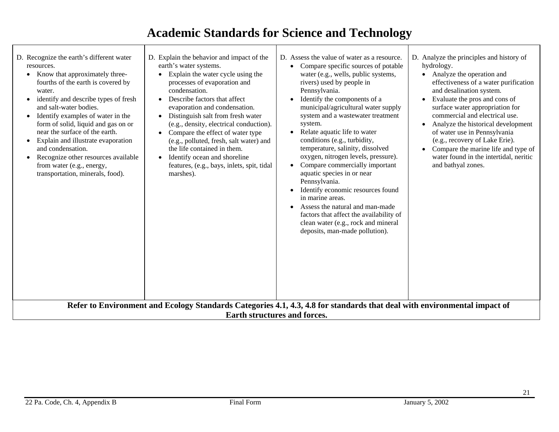| D. Recognize the earth's different water<br>resources.<br>Know that approximately three-<br>fourths of the earth is covered by<br>water.<br>identify and describe types of fresh<br>and salt-water bodies.<br>Identify examples of water in the<br>form of solid, liquid and gas on or<br>near the surface of the earth.<br>Explain and illustrate evaporation<br>and condensation.<br>Recognize other resources available<br>from water (e.g., energy,<br>transportation, minerals, food). | D. Explain the behavior and impact of the<br>earth's water systems.<br>Explain the water cycle using the<br>$\bullet$<br>processes of evaporation and<br>condensation.<br>Describe factors that affect<br>$\bullet$<br>evaporation and condensation.<br>Distinguish salt from fresh water<br>$\bullet$<br>(e.g., density, electrical conduction).<br>Compare the effect of water type<br>$\bullet$<br>(e.g., polluted, fresh, salt water) and<br>the life contained in them.<br>Identify ocean and shoreline<br>$\bullet$<br>features, (e.g., bays, inlets, spit, tidal<br>marshes). | D. Assess the value of water as a resource.<br>Compare specific sources of potable<br>water (e.g., wells, public systems,<br>rivers) used by people in<br>Pennsylvania.<br>Identify the components of a<br>municipal/agricultural water supply<br>system and a wastewater treatment<br>system.<br>Relate aquatic life to water<br>$\bullet$<br>conditions (e.g., turbidity,<br>temperature, salinity, dissolved<br>oxygen, nitrogen levels, pressure).<br>Compare commercially important<br>$\bullet$<br>aquatic species in or near<br>Pennsylvania.<br>Identify economic resources found<br>in marine areas.<br>Assess the natural and man-made<br>factors that affect the availability of<br>clean water (e.g., rock and mineral<br>deposits, man-made pollution). | D. Analyze the principles and history of<br>hydrology.<br>Analyze the operation and<br>$\bullet$<br>effectiveness of a water purification<br>and desalination system.<br>Evaluate the pros and cons of<br>surface water appropriation for<br>commercial and electrical use.<br>Analyze the historical development<br>of water use in Pennsylvania<br>(e.g., recovery of Lake Erie).<br>Compare the marine life and type of<br>water found in the intertidal, neritic<br>and bathyal zones. |
|---------------------------------------------------------------------------------------------------------------------------------------------------------------------------------------------------------------------------------------------------------------------------------------------------------------------------------------------------------------------------------------------------------------------------------------------------------------------------------------------|--------------------------------------------------------------------------------------------------------------------------------------------------------------------------------------------------------------------------------------------------------------------------------------------------------------------------------------------------------------------------------------------------------------------------------------------------------------------------------------------------------------------------------------------------------------------------------------|----------------------------------------------------------------------------------------------------------------------------------------------------------------------------------------------------------------------------------------------------------------------------------------------------------------------------------------------------------------------------------------------------------------------------------------------------------------------------------------------------------------------------------------------------------------------------------------------------------------------------------------------------------------------------------------------------------------------------------------------------------------------|--------------------------------------------------------------------------------------------------------------------------------------------------------------------------------------------------------------------------------------------------------------------------------------------------------------------------------------------------------------------------------------------------------------------------------------------------------------------------------------------|
| Refer to Environment and Ecology Standards Categories 4.1, 4.3, 4.8 for standards that deal with environmental impact of<br><b>Earth structures and forces.</b>                                                                                                                                                                                                                                                                                                                             |                                                                                                                                                                                                                                                                                                                                                                                                                                                                                                                                                                                      |                                                                                                                                                                                                                                                                                                                                                                                                                                                                                                                                                                                                                                                                                                                                                                      |                                                                                                                                                                                                                                                                                                                                                                                                                                                                                            |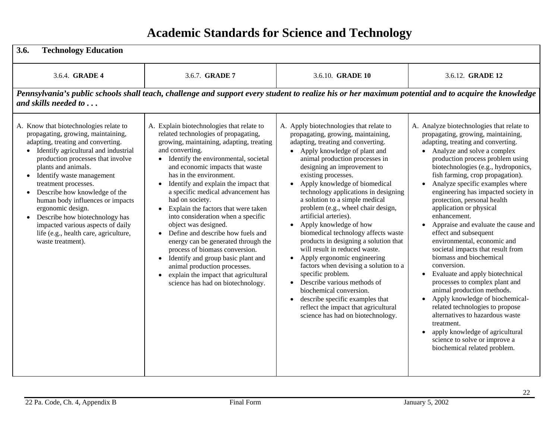| 3.6.<br><b>Technology Education</b>                                                                                                                                                                                                                                                                                                                                                                                                                                                                                                      |                                                                                                                                                                                                                                                                                                                                                                                                                                                                                                                                                                                                                                                                                                                                                                                                  |                                                                                                                                                                                                                                                                                                                                                                                                                                                                                                                                                                                                                                                                                                                                                                                                                                               |                                                                                                                                                                                                                                                                                                                                                                                                                                                                                                                                                                                                                                                                                                                                                                                                                                                                                                                                                                                           |
|------------------------------------------------------------------------------------------------------------------------------------------------------------------------------------------------------------------------------------------------------------------------------------------------------------------------------------------------------------------------------------------------------------------------------------------------------------------------------------------------------------------------------------------|--------------------------------------------------------------------------------------------------------------------------------------------------------------------------------------------------------------------------------------------------------------------------------------------------------------------------------------------------------------------------------------------------------------------------------------------------------------------------------------------------------------------------------------------------------------------------------------------------------------------------------------------------------------------------------------------------------------------------------------------------------------------------------------------------|-----------------------------------------------------------------------------------------------------------------------------------------------------------------------------------------------------------------------------------------------------------------------------------------------------------------------------------------------------------------------------------------------------------------------------------------------------------------------------------------------------------------------------------------------------------------------------------------------------------------------------------------------------------------------------------------------------------------------------------------------------------------------------------------------------------------------------------------------|-------------------------------------------------------------------------------------------------------------------------------------------------------------------------------------------------------------------------------------------------------------------------------------------------------------------------------------------------------------------------------------------------------------------------------------------------------------------------------------------------------------------------------------------------------------------------------------------------------------------------------------------------------------------------------------------------------------------------------------------------------------------------------------------------------------------------------------------------------------------------------------------------------------------------------------------------------------------------------------------|
| 3.6.4. <b>GRADE 4</b>                                                                                                                                                                                                                                                                                                                                                                                                                                                                                                                    | 3.6.7. GRADE 7                                                                                                                                                                                                                                                                                                                                                                                                                                                                                                                                                                                                                                                                                                                                                                                   | 3.6.10. <b>GRADE 10</b>                                                                                                                                                                                                                                                                                                                                                                                                                                                                                                                                                                                                                                                                                                                                                                                                                       | 3.6.12. <b>GRADE 12</b>                                                                                                                                                                                                                                                                                                                                                                                                                                                                                                                                                                                                                                                                                                                                                                                                                                                                                                                                                                   |
| and skills needed to                                                                                                                                                                                                                                                                                                                                                                                                                                                                                                                     | Pennsylvania's public schools shall teach, challenge and support every student to realize his or her maximum potential and to acquire the knowledge                                                                                                                                                                                                                                                                                                                                                                                                                                                                                                                                                                                                                                              |                                                                                                                                                                                                                                                                                                                                                                                                                                                                                                                                                                                                                                                                                                                                                                                                                                               |                                                                                                                                                                                                                                                                                                                                                                                                                                                                                                                                                                                                                                                                                                                                                                                                                                                                                                                                                                                           |
| A. Know that biotechnologies relate to<br>propagating, growing, maintaining,<br>adapting, treating and converting.<br>• Identify agricultural and industrial<br>production processes that involve<br>plants and animals.<br>• Identify waste management<br>treatment processes.<br>Describe how knowledge of the<br>$\bullet$<br>human body influences or impacts<br>ergonomic design.<br>Describe how biotechnology has<br>$\bullet$<br>impacted various aspects of daily<br>life (e.g., health care, agriculture,<br>waste treatment). | A. Explain biotechnologies that relate to<br>related technologies of propagating,<br>growing, maintaining, adapting, treating<br>and converting.<br>• Identify the environmental, societal<br>and economic impacts that waste<br>has in the environment.<br>Identify and explain the impact that<br>$\bullet$<br>a specific medical advancement has<br>had on society.<br>Explain the factors that were taken<br>$\bullet$<br>into consideration when a specific<br>object was designed.<br>Define and describe how fuels and<br>$\bullet$<br>energy can be generated through the<br>process of biomass conversion.<br>Identify and group basic plant and<br>$\bullet$<br>animal production processes.<br>explain the impact that agricultural<br>$\bullet$<br>science has had on biotechnology. | A. Apply biotechnologies that relate to<br>propagating, growing, maintaining,<br>adapting, treating and converting.<br>• Apply knowledge of plant and<br>animal production processes in<br>designing an improvement to<br>existing processes.<br>Apply knowledge of biomedical<br>technology applications in designing<br>a solution to a simple medical<br>problem (e.g., wheel chair design,<br>artificial arteries).<br>• Apply knowledge of how<br>biomedical technology affects waste<br>products in designing a solution that<br>will result in reduced waste.<br>Apply ergonomic engineering<br>factors when devising a solution to a<br>specific problem.<br>• Describe various methods of<br>biochemical conversion.<br>describe specific examples that<br>reflect the impact that agricultural<br>science has had on biotechnology. | A. Analyze biotechnologies that relate to<br>propagating, growing, maintaining,<br>adapting, treating and converting.<br>• Analyze and solve a complex<br>production process problem using<br>biotechnologies (e.g., hydroponics,<br>fish farming, crop propagation).<br>Analyze specific examples where<br>engineering has impacted society in<br>protection, personal health<br>application or physical<br>enhancement.<br>Appraise and evaluate the cause and<br>$\bullet$<br>effect and subsequent<br>environmental, economic and<br>societal impacts that result from<br>biomass and biochemical<br>conversion.<br>Evaluate and apply biotechnical<br>$\bullet$<br>processes to complex plant and<br>animal production methods.<br>Apply knowledge of biochemical-<br>$\bullet$<br>related technologies to propose<br>alternatives to hazardous waste<br>treatment.<br>apply knowledge of agricultural<br>$\bullet$<br>science to solve or improve a<br>biochemical related problem. |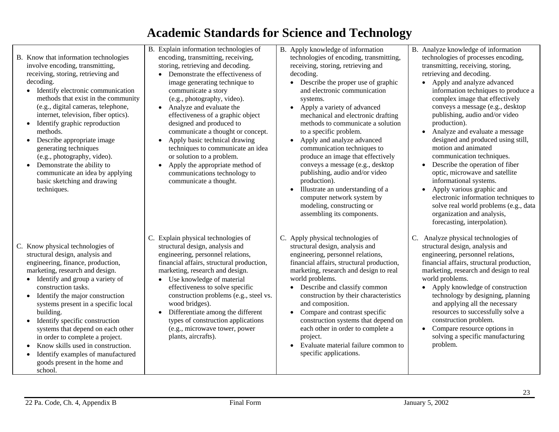- B. Know that information technologies involve encoding, transmitting, receiving, storing, retrieving and decoding.
	- Identify electronic communication methods that exist in the community (e.g., digital cameras, telephone, internet, television, fiber optics).
	- Identify graphic reproduction methods.
	- Describe appropriate image generating techniques (e.g., photography, video).
	- Demonstrate the ability to communicate an idea by applying basic sketching and drawing techniques.

- C. Know physical technologies of structural design, analysis and engineering, finance, production, marketing, research and design.
	- Identify and group a variety of construction tasks.
	- Identify the major construction systems present in a specific local building.
	- Identify specific construction systems that depend on each other in order to complete a project.
	- •Know skills used in construction.
	- $\bullet$  Identify examples of manufactured goods present in the home and school.
- B. Explain information technologies of encoding, transmitting, receiving, storing, retrieving and decoding.
	- • Demonstrate the effectiveness of image generating technique to communicate a story (e.g., photography, video).
	- Analyze and evaluate the effectiveness of a graphic object designed and produced to communicate a thought or concept.
	- Apply basic technical drawing techniques to communicate an idea or solution to a problem.
	- Apply the appropriate method of communications technology to communicate a thought.

- C. Explain physical technologies of structural design, analysis and engineering, personnel relations, financial affairs, structural production, marketing, research and design.
	- Use knowledge of material effectiveness to solve specific construction problems (e.g., steel vs. wood bridges).
	- Differentiate among the different types of construction applications (e.g., microwave tower, power plants, aircrafts).
- B. Apply knowledge of information technologies of encoding, transmitting, receiving, storing, retrieving and decoding.
	- Describe the proper use of graphic and electronic communication systems.
	- Apply a variety of advanced mechanical and electronic drafting methods to communicate a solution to a specific problem.
	- Apply and analyze advanced communication techniques to produce an image that effectively conveys a message (e.g., desktop publishing, audio and/or video production).
	- Illustrate an understanding of a computer network system by modeling, constructing or assembling its components.
- C. Apply physical technologies of structural design, analysis and engineering, personnel relations, financial affairs, structural production, marketing, research and design to real world problems.
	- Describe and classify common construction by their characteristics and composition.
	- Compare and contrast specific construction systems that depend on each other in order to complete a project.
	- Evaluate material failure common to specific applications.
- B. Analyze knowledge of information technologies of processes encoding, transmitting, receiving, storing, retrieving and decoding.
	- Apply and analyze advanced information techniques to produce a complex image that effectively conveys a message (e.g., desktop publishing, audio and/or video production).
	- • Analyze and evaluate a message designed and produced using still, motion and animated communication techniques.
	- • Describe the operation of fiber optic, microwave and satellite informational systems.
	- Apply various graphic and electronic information techniques to solve real world problems (e.g., data organization and analysis, forecasting, interpolation).
- C. Analyze physical technologies of structural design, analysis and engineering, personnel relations, financial affairs, structural production, marketing, research and design to real world problems.
	- Apply knowledge of construction technology by designing, planning and applying all the necessary resources to successfully solve a construction problem.
	- • Compare resource options in solving a specific manufacturing problem.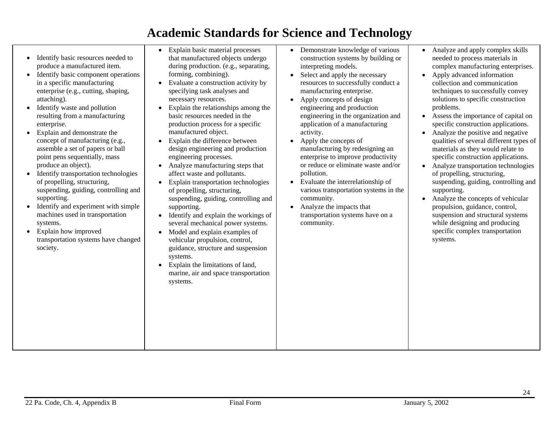- Identify basic resources needed to produce a manufactured item.
- Identify basic component operations in a specific manufacturing enterprise (e.g., cutting, shaping, attaching).
- Identify waste and pollution resulting from a manufacturing enterprise.
- Explain and demonstrate the concept of manufacturing (e.g., assemble a set of papers or ball point pens sequentially, mass produce an object).
- Identify transportation technologies of propelling, structuring, suspending, guiding, controlling and supporting.
- $\bullet$  Identify and experiment with simple machines used in transportation systems.
- Explain how improved transportation systems have changed society.
- • Explain basic material processes that manufactured objects undergo during production. (e.g., separating, forming, combining).
- Evaluate a construction activity by specifying task analyses and necessary resources.
- • Explain the relationships among the basic resources needed in the production process for a specific manufactured object.
- Explain the difference between design engineering and production engineering processes.
- Analyze manufacturing steps that affect waste and pollutants.
- Explain transportation technologies of propelling, structuring, suspending, guiding, controlling and supporting.
- Identify and explain the workings of several mechanical power systems.
- Model and explain examples of vehicular propulsion, control, guidance, structure and suspension systems.
- • Explain the limitations of land, marine, air and space transportation systems.
- Demonstrate knowledge of various construction systems by building or interpreting models.
- Select and apply the necessary resources to successfully conduct a manufacturing enterprise.
- Apply concepts of design engineering and production engineering in the organization and application of a manufacturing activity.
- Apply the concepts of manufacturing by redesigning an enterprise to improve productivity or reduce or eliminate waste and/or pollution.
- Evaluate the interrelationship of various transportation systems in the community.
- Analyze the impacts that transportation systems have on a community.
- • Analyze and apply complex skills needed to process materials in complex manufacturing enterprises.
- • Apply advanced information collection and communication techniques to successfully convey solutions to specific construction problems.
- • Assess the importance of capital on specific construction applications.
- • Analyze the positive and negative qualities of several different types of materials as they would relate to specific construction applications.
- • Analyze transportation technologies of propelling, structuring, suspending, guiding, controlling and supporting.
- Analyze the concepts of vehicular propulsion, guidance, control, suspension and structural systems while designing and producing specific complex transportation systems.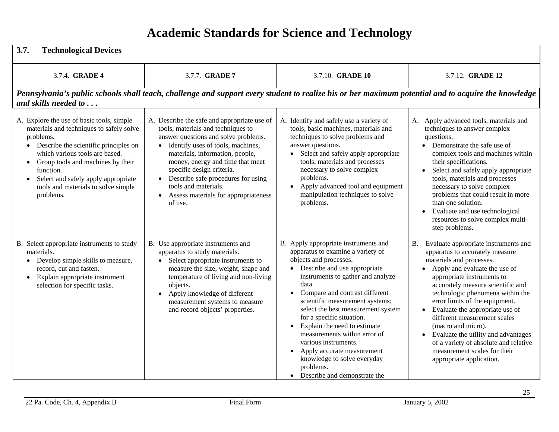| <b>Technological Devices</b><br>3.7.                                                                                                                                                                                                                                                                                                                 |                                                                                                                                                                                                                                                                                                                                                                                                                 |                                                                                                                                                                                                                                                                                                                                                                                                                                                                                                                                                           |                                                                                                                                                                                                                                                                                                                                                                                                                                                                                                                                   |
|------------------------------------------------------------------------------------------------------------------------------------------------------------------------------------------------------------------------------------------------------------------------------------------------------------------------------------------------------|-----------------------------------------------------------------------------------------------------------------------------------------------------------------------------------------------------------------------------------------------------------------------------------------------------------------------------------------------------------------------------------------------------------------|-----------------------------------------------------------------------------------------------------------------------------------------------------------------------------------------------------------------------------------------------------------------------------------------------------------------------------------------------------------------------------------------------------------------------------------------------------------------------------------------------------------------------------------------------------------|-----------------------------------------------------------------------------------------------------------------------------------------------------------------------------------------------------------------------------------------------------------------------------------------------------------------------------------------------------------------------------------------------------------------------------------------------------------------------------------------------------------------------------------|
| 3.7.4. <b>GRADE 4</b>                                                                                                                                                                                                                                                                                                                                | 3.7.7. GRADE 7                                                                                                                                                                                                                                                                                                                                                                                                  | 3.7.10. <b>GRADE 10</b>                                                                                                                                                                                                                                                                                                                                                                                                                                                                                                                                   | 3.7.12. <b>GRADE 12</b>                                                                                                                                                                                                                                                                                                                                                                                                                                                                                                           |
| and skills needed to $\dots$                                                                                                                                                                                                                                                                                                                         | Pennsylvania's public schools shall teach, challenge and support every student to realize his or her maximum potential and to acquire the knowledge                                                                                                                                                                                                                                                             |                                                                                                                                                                                                                                                                                                                                                                                                                                                                                                                                                           |                                                                                                                                                                                                                                                                                                                                                                                                                                                                                                                                   |
| A. Explore the use of basic tools, simple<br>materials and techniques to safely solve<br>problems.<br>Describe the scientific principles on<br>$\bullet$<br>which various tools are based.<br>Group tools and machines by their<br>function.<br>Select and safely apply appropriate<br>$\bullet$<br>tools and materials to solve simple<br>problems. | A. Describe the safe and appropriate use of<br>tools, materials and techniques to<br>answer questions and solve problems.<br>• Identify uses of tools, machines,<br>materials, information, people,<br>money, energy and time that meet<br>specific design criteria.<br>Describe safe procedures for using<br>$\bullet$<br>tools and materials.<br>Assess materials for appropriateness<br>$\bullet$<br>of use. | A. Identify and safely use a variety of<br>tools, basic machines, materials and<br>techniques to solve problems and<br>answer questions.<br>• Select and safely apply appropriate<br>tools, materials and processes<br>necessary to solve complex<br>problems.<br>Apply advanced tool and equipment<br>$\bullet$<br>manipulation techniques to solve<br>problems.                                                                                                                                                                                         | Apply advanced tools, materials and<br>А.<br>techniques to answer complex<br>questions.<br>• Demonstrate the safe use of<br>complex tools and machines within<br>their specifications.<br>Select and safely apply appropriate<br>tools, materials and processes<br>necessary to solve complex<br>problems that could result in more<br>than one solution.<br>Evaluate and use technological<br>resources to solve complex multi-<br>step problems.                                                                                |
| B. Select appropriate instruments to study<br>materials.<br>Develop simple skills to measure,<br>$\bullet$<br>record, cut and fasten.<br>Explain appropriate instrument<br>$\bullet$<br>selection for specific tasks.                                                                                                                                | B. Use appropriate instruments and<br>apparatus to study materials.<br>Select appropriate instruments to<br>measure the size, weight, shape and<br>temperature of living and non-living<br>objects.<br>Apply knowledge of different<br>$\bullet$<br>measurement systems to measure<br>and record objects' properties.                                                                                           | B. Apply appropriate instruments and<br>apparatus to examine a variety of<br>objects and processes.<br>• Describe and use appropriate<br>instruments to gather and analyze<br>data.<br>Compare and contrast different<br>$\bullet$<br>scientific measurement systems;<br>select the best measurement system<br>for a specific situation.<br>Explain the need to estimate<br>$\bullet$<br>measurements within error of<br>various instruments.<br>Apply accurate measurement<br>knowledge to solve everyday<br>problems.<br>• Describe and demonstrate the | Evaluate appropriate instruments and<br><b>B.</b><br>apparatus to accurately measure<br>materials and processes.<br>Apply and evaluate the use of<br>appropriate instruments to<br>accurately measure scientific and<br>technologic phenomena within the<br>error limits of the equipment.<br>Evaluate the appropriate use of<br>different measurement scales<br>(macro and micro).<br>• Evaluate the utility and advantages<br>of a variety of absolute and relative<br>measurement scales for their<br>appropriate application. |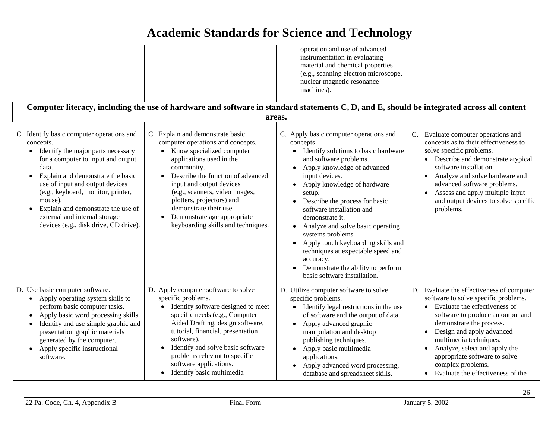|                                                                                                                                                                                                                                                                                                                                                                                                                  | Computer literacy, including the use of hardware and software in standard statements C, D, and E, should be integrated across all content                                                                                                                                                                                                                                                | operation and use of advanced<br>instrumentation in evaluating<br>material and chemical properties<br>(e.g., scanning electron microscope,<br>nuclear magnetic resonance<br>machines).                                                                                                                                                                                                                                                                                                                                     |                                                                                                                                                                                                                                                                                                                                                                                           |
|------------------------------------------------------------------------------------------------------------------------------------------------------------------------------------------------------------------------------------------------------------------------------------------------------------------------------------------------------------------------------------------------------------------|------------------------------------------------------------------------------------------------------------------------------------------------------------------------------------------------------------------------------------------------------------------------------------------------------------------------------------------------------------------------------------------|----------------------------------------------------------------------------------------------------------------------------------------------------------------------------------------------------------------------------------------------------------------------------------------------------------------------------------------------------------------------------------------------------------------------------------------------------------------------------------------------------------------------------|-------------------------------------------------------------------------------------------------------------------------------------------------------------------------------------------------------------------------------------------------------------------------------------------------------------------------------------------------------------------------------------------|
|                                                                                                                                                                                                                                                                                                                                                                                                                  | areas.                                                                                                                                                                                                                                                                                                                                                                                   |                                                                                                                                                                                                                                                                                                                                                                                                                                                                                                                            |                                                                                                                                                                                                                                                                                                                                                                                           |
| C. Identify basic computer operations and<br>concepts.<br>• Identify the major parts necessary<br>for a computer to input and output<br>data.<br>Explain and demonstrate the basic<br>$\bullet$<br>use of input and output devices<br>(e.g., keyboard, monitor, printer,<br>mouse).<br>Explain and demonstrate the use of<br>$\bullet$<br>external and internal storage<br>devices (e.g., disk drive, CD drive). | C. Explain and demonstrate basic<br>computer operations and concepts.<br>Know specialized computer<br>$\bullet$<br>applications used in the<br>community.<br>Describe the function of advanced<br>input and output devices<br>(e.g., scanners, video images,<br>plotters, projectors) and<br>demonstrate their use.<br>Demonstrate age appropriate<br>keyboarding skills and techniques. | C. Apply basic computer operations and<br>concepts.<br>Identify solutions to basic hardware<br>and software problems.<br>Apply knowledge of advanced<br>input devices.<br>Apply knowledge of hardware<br>setup.<br>Describe the process for basic<br>software installation and<br>demonstrate it.<br>Analyze and solve basic operating<br>systems problems.<br>Apply touch keyboarding skills and<br>techniques at expectable speed and<br>accuracy.<br>Demonstrate the ability to perform<br>basic software installation. | C. Evaluate computer operations and<br>concepts as to their effectiveness to<br>solve specific problems.<br>• Describe and demonstrate atypical<br>software installation.<br>Analyze and solve hardware and<br>$\bullet$<br>advanced software problems.<br>Assess and apply multiple input<br>$\bullet$<br>and output devices to solve specific<br>problems.                              |
| D. Use basic computer software.<br>• Apply operating system skills to<br>perform basic computer tasks.<br>Apply basic word processing skills.<br>$\bullet$<br>Identify and use simple graphic and<br>$\bullet$<br>presentation graphic materials<br>generated by the computer.<br>Apply specific instructional<br>$\bullet$<br>software.                                                                         | D. Apply computer software to solve<br>specific problems.<br>Identify software designed to meet<br>$\bullet$<br>specific needs (e.g., Computer<br>Aided Drafting, design software,<br>tutorial, financial, presentation<br>software).<br>Identify and solve basic software<br>problems relevant to specific<br>software applications.<br>• Identify basic multimedia                     | D. Utilize computer software to solve<br>specific problems.<br>Identify legal restrictions in the use<br>of software and the output of data.<br>Apply advanced graphic<br>manipulation and desktop<br>publishing techniques.<br>Apply basic multimedia<br>applications.<br>Apply advanced word processing,<br>database and spreadsheet skills.                                                                                                                                                                             | D. Evaluate the effectiveness of computer<br>software to solve specific problems.<br>• Evaluate the effectiveness of<br>software to produce an output and<br>demonstrate the process.<br>• Design and apply advanced<br>multimedia techniques.<br>Analyze, select and apply the<br>$\bullet$<br>appropriate software to solve<br>complex problems.<br>• Evaluate the effectiveness of the |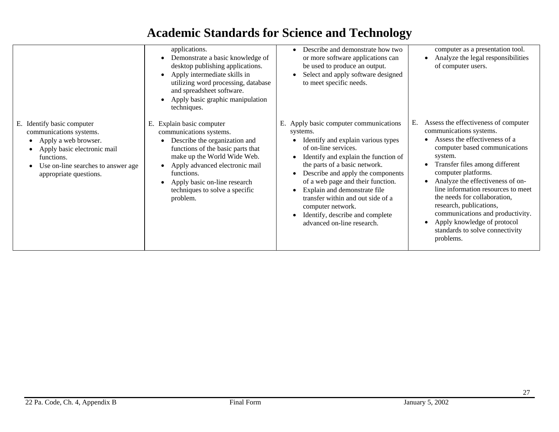|                                                                                                                                                                                                              | applications.<br>Demonstrate a basic knowledge of<br>$\bullet$<br>desktop publishing applications.<br>Apply intermediate skills in<br>utilizing word processing, database<br>and spreadsheet software.<br>Apply basic graphic manipulation<br>techniques.                                  | Describe and demonstrate how two<br>or more software applications can<br>be used to produce an output.<br>Select and apply software designed<br>to meet specific needs.                                                                                                                                                                                                                                                     | computer as a presentation tool.<br>Analyze the legal responsibilities<br>of computer users.                                                                                                                                                                                                                                                                                                                                                                        |
|--------------------------------------------------------------------------------------------------------------------------------------------------------------------------------------------------------------|--------------------------------------------------------------------------------------------------------------------------------------------------------------------------------------------------------------------------------------------------------------------------------------------|-----------------------------------------------------------------------------------------------------------------------------------------------------------------------------------------------------------------------------------------------------------------------------------------------------------------------------------------------------------------------------------------------------------------------------|---------------------------------------------------------------------------------------------------------------------------------------------------------------------------------------------------------------------------------------------------------------------------------------------------------------------------------------------------------------------------------------------------------------------------------------------------------------------|
| E. Identify basic computer<br>communications systems.<br>Apply a web browser.<br>٠<br>Apply basic electronic mail<br>$\bullet$<br>functions.<br>Use on-line searches to answer age<br>appropriate questions. | Explain basic computer<br>Е.<br>communications systems.<br>Describe the organization and<br>functions of the basic parts that<br>make up the World Wide Web.<br>Apply advanced electronic mail<br>functions.<br>Apply basic on-line research<br>techniques to solve a specific<br>problem. | Apply basic computer communications<br>systems.<br>Identify and explain various types<br>of on-line services.<br>Identify and explain the function of<br>the parts of a basic network.<br>Describe and apply the components<br>of a web page and their function.<br>Explain and demonstrate file<br>transfer within and out side of a<br>computer network.<br>Identify, describe and complete<br>advanced on-line research. | Assess the effectiveness of computer<br>Е.<br>communications systems.<br>Assess the effectiveness of a<br>computer based communications<br>system.<br>Transfer files among different<br>computer platforms.<br>Analyze the effectiveness of on-<br>line information resources to meet<br>the needs for collaboration,<br>research, publications,<br>communications and productivity.<br>Apply knowledge of protocol<br>standards to solve connectivity<br>problems. |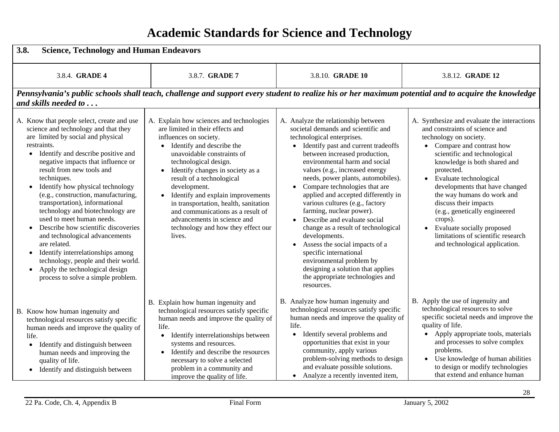| 3.8.<br><b>Science, Technology and Human Endeavors</b>                                                                                                                                                                                                                                                                                                                                                                                                                                                                                                                                                                                                                                                                                         |                                                                                                                                                                                                                                                                                                                                                                                                                                                                                 |                                                                                                                                                                                                                                                                                                                                                                                                                                                                                                                                                                                                                                                                                                           |                                                                                                                                                                                                                                                                                                                                                                                                                                                                                            |
|------------------------------------------------------------------------------------------------------------------------------------------------------------------------------------------------------------------------------------------------------------------------------------------------------------------------------------------------------------------------------------------------------------------------------------------------------------------------------------------------------------------------------------------------------------------------------------------------------------------------------------------------------------------------------------------------------------------------------------------------|---------------------------------------------------------------------------------------------------------------------------------------------------------------------------------------------------------------------------------------------------------------------------------------------------------------------------------------------------------------------------------------------------------------------------------------------------------------------------------|-----------------------------------------------------------------------------------------------------------------------------------------------------------------------------------------------------------------------------------------------------------------------------------------------------------------------------------------------------------------------------------------------------------------------------------------------------------------------------------------------------------------------------------------------------------------------------------------------------------------------------------------------------------------------------------------------------------|--------------------------------------------------------------------------------------------------------------------------------------------------------------------------------------------------------------------------------------------------------------------------------------------------------------------------------------------------------------------------------------------------------------------------------------------------------------------------------------------|
| 3.8.4. GRADE 4                                                                                                                                                                                                                                                                                                                                                                                                                                                                                                                                                                                                                                                                                                                                 | 3.8.7. GRADE 7                                                                                                                                                                                                                                                                                                                                                                                                                                                                  | 3.8.10. GRADE 10                                                                                                                                                                                                                                                                                                                                                                                                                                                                                                                                                                                                                                                                                          | 3.8.12. GRADE 12                                                                                                                                                                                                                                                                                                                                                                                                                                                                           |
| and skills needed to $\dots$                                                                                                                                                                                                                                                                                                                                                                                                                                                                                                                                                                                                                                                                                                                   | Pennsylvania's public schools shall teach, challenge and support every student to realize his or her maximum potential and to acquire the knowledge                                                                                                                                                                                                                                                                                                                             |                                                                                                                                                                                                                                                                                                                                                                                                                                                                                                                                                                                                                                                                                                           |                                                                                                                                                                                                                                                                                                                                                                                                                                                                                            |
| A. Know that people select, create and use<br>science and technology and that they<br>are limited by social and physical<br>restraints.<br>Identify and describe positive and<br>$\bullet$<br>negative impacts that influence or<br>result from new tools and<br>techniques.<br>Identify how physical technology<br>$\bullet$<br>(e.g., construction, manufacturing,<br>transportation), informational<br>technology and biotechnology are<br>used to meet human needs.<br>Describe how scientific discoveries<br>and technological advancements<br>are related.<br>Identify interrelationships among<br>$\bullet$<br>technology, people and their world.<br>Apply the technological design<br>$\bullet$<br>process to solve a simple problem. | A. Explain how sciences and technologies<br>are limited in their effects and<br>influences on society.<br>• Identify and describe the<br>unavoidable constraints of<br>technological design.<br>Identify changes in society as a<br>result of a technological<br>development.<br>Identify and explain improvements<br>in transportation, health, sanitation<br>and communications as a result of<br>advancements in science and<br>technology and how they effect our<br>lives. | A. Analyze the relationship between<br>societal demands and scientific and<br>technological enterprises.<br>• Identify past and current tradeoffs<br>between increased production,<br>environmental harm and social<br>values (e.g., increased energy<br>needs, power plants, automobiles).<br>Compare technologies that are<br>applied and accepted differently in<br>various cultures (e.g., factory<br>farming, nuclear power).<br>Describe and evaluate social<br>change as a result of technological<br>developments.<br>Assess the social impacts of a<br>specific international<br>environmental problem by<br>designing a solution that applies<br>the appropriate technologies and<br>resources. | A. Synthesize and evaluate the interactions<br>and constraints of science and<br>technology on society.<br>• Compare and contrast how<br>scientific and technological<br>knowledge is both shared and<br>protected.<br>• Evaluate technological<br>developments that have changed<br>the way humans do work and<br>discuss their impacts<br>(e.g., genetically engineered<br>crops).<br>Evaluate socially proposed<br>limitations of scientific research<br>and technological application. |
| B. Know how human ingenuity and<br>technological resources satisfy specific<br>human needs and improve the quality of<br>life.<br>Identify and distinguish between<br>$\bullet$<br>human needs and improving the<br>quality of life.<br>• Identify and distinguish between                                                                                                                                                                                                                                                                                                                                                                                                                                                                     | B. Explain how human ingenuity and<br>technological resources satisfy specific<br>human needs and improve the quality of<br>life.<br>• Identify interrelationships between<br>systems and resources.<br>• Identify and describe the resources<br>necessary to solve a selected<br>problem in a community and<br>improve the quality of life.                                                                                                                                    | B. Analyze how human ingenuity and<br>technological resources satisfy specific<br>human needs and improve the quality of<br>life.<br>Identify several problems and<br>$\bullet$<br>opportunities that exist in your<br>community, apply various<br>problem-solving methods to design<br>and evaluate possible solutions.<br>Analyze a recently invented item,                                                                                                                                                                                                                                                                                                                                             | B. Apply the use of ingenuity and<br>technological resources to solve<br>specific societal needs and improve the<br>quality of life.<br>Apply appropriate tools, materials<br>$\bullet$<br>and processes to solve complex<br>problems.<br>• Use knowledge of human abilities<br>to design or modify technologies<br>that extend and enhance human                                                                                                                                          |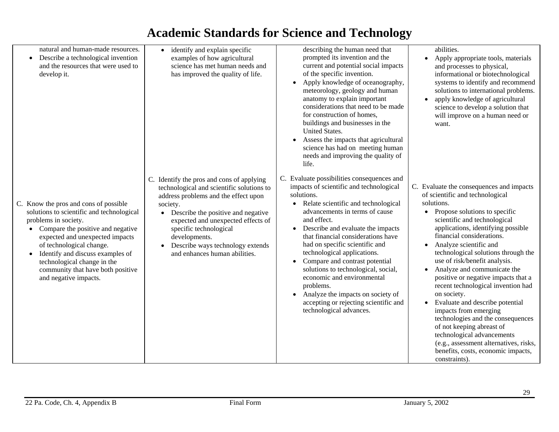| natural and human-made resources.<br>Describe a technological invention<br>$\bullet$<br>and the resources that were used to<br>develop it.                                                                                                                                                                                                                                | • identify and explain specific<br>examples of how agricultural<br>science has met human needs and<br>has improved the quality of life.                                                                                                                                                                                                             | describing the human need that<br>prompted its invention and the<br>current and potential social impacts<br>of the specific invention.<br>Apply knowledge of oceanography,<br>meteorology, geology and human<br>anatomy to explain important<br>considerations that need to be made<br>for construction of homes,<br>buildings and businesses in the<br>United States.<br>Assess the impacts that agricultural<br>science has had on meeting human<br>needs and improving the quality of<br>life.                                                                    | abilities.<br>Apply appropriate tools, materials<br>$\bullet$<br>and processes to physical,<br>informational or biotechnological<br>systems to identify and recommend<br>solutions to international problems.<br>apply knowledge of agricultural<br>$\bullet$<br>science to develop a solution that<br>will improve on a human need or<br>want.                                                                                                                                                                                                                                                                                                                                                                                                   |
|---------------------------------------------------------------------------------------------------------------------------------------------------------------------------------------------------------------------------------------------------------------------------------------------------------------------------------------------------------------------------|-----------------------------------------------------------------------------------------------------------------------------------------------------------------------------------------------------------------------------------------------------------------------------------------------------------------------------------------------------|----------------------------------------------------------------------------------------------------------------------------------------------------------------------------------------------------------------------------------------------------------------------------------------------------------------------------------------------------------------------------------------------------------------------------------------------------------------------------------------------------------------------------------------------------------------------|---------------------------------------------------------------------------------------------------------------------------------------------------------------------------------------------------------------------------------------------------------------------------------------------------------------------------------------------------------------------------------------------------------------------------------------------------------------------------------------------------------------------------------------------------------------------------------------------------------------------------------------------------------------------------------------------------------------------------------------------------|
| C. Know the pros and cons of possible<br>solutions to scientific and technological<br>problems in society.<br>Compare the positive and negative<br>$\bullet$<br>expected and unexpected impacts<br>of technological change.<br>Identify and discuss examples of<br>$\bullet$<br>technological change in the<br>community that have both positive<br>and negative impacts. | C. Identify the pros and cons of applying<br>technological and scientific solutions to<br>address problems and the effect upon<br>society.<br>Describe the positive and negative<br>$\bullet$<br>expected and unexpected effects of<br>specific technological<br>developments.<br>Describe ways technology extends<br>and enhances human abilities. | C. Evaluate possibilities consequences and<br>impacts of scientific and technological<br>solutions.<br>Relate scientific and technological<br>advancements in terms of cause<br>and effect.<br>Describe and evaluate the impacts<br>that financial considerations have<br>had on specific scientific and<br>technological applications.<br>Compare and contrast potential<br>solutions to technological, social,<br>economic and environmental<br>problems.<br>Analyze the impacts on society of<br>accepting or rejecting scientific and<br>technological advances. | C. Evaluate the consequences and impacts<br>of scientific and technological<br>solutions.<br>Propose solutions to specific<br>$\bullet$<br>scientific and technological<br>applications, identifying possible<br>financial considerations.<br>Analyze scientific and<br>$\bullet$<br>technological solutions through the<br>use of risk/benefit analysis.<br>Analyze and communicate the<br>positive or negative impacts that a<br>recent technological invention had<br>on society.<br>Evaluate and describe potential<br>impacts from emerging<br>technologies and the consequences<br>of not keeping abreast of<br>technological advancements<br>(e.g., assessment alternatives, risks,<br>benefits, costs, economic impacts,<br>constraints). |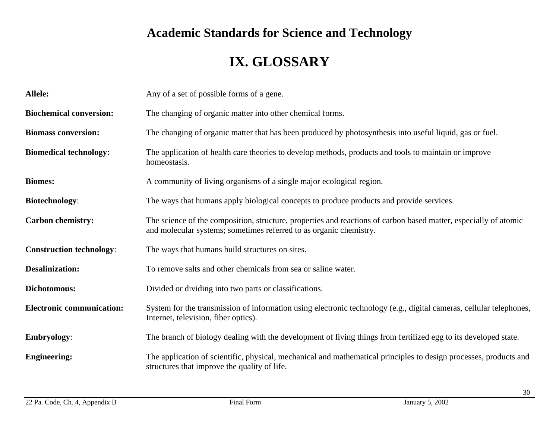# **IX. GLOSSARY**

| <b>Allele:</b>                   | Any of a set of possible forms of a gene.                                                                                                                                              |
|----------------------------------|----------------------------------------------------------------------------------------------------------------------------------------------------------------------------------------|
| <b>Biochemical conversion:</b>   | The changing of organic matter into other chemical forms.                                                                                                                              |
| <b>Biomass conversion:</b>       | The changing of organic matter that has been produced by photosynthesis into useful liquid, gas or fuel.                                                                               |
| <b>Biomedical technology:</b>    | The application of health care theories to develop methods, products and tools to maintain or improve<br>homeostasis.                                                                  |
| <b>Biomes:</b>                   | A community of living organisms of a single major ecological region.                                                                                                                   |
| <b>Biotechnology:</b>            | The ways that humans apply biological concepts to produce products and provide services.                                                                                               |
| <b>Carbon chemistry:</b>         | The science of the composition, structure, properties and reactions of carbon based matter, especially of atomic<br>and molecular systems; sometimes referred to as organic chemistry. |
| <b>Construction technology:</b>  | The ways that humans build structures on sites.                                                                                                                                        |
| <b>Desalinization:</b>           | To remove salts and other chemicals from sea or saline water.                                                                                                                          |
| Dichotomous:                     | Divided or dividing into two parts or classifications.                                                                                                                                 |
| <b>Electronic communication:</b> | System for the transmission of information using electronic technology (e.g., digital cameras, cellular telephones,<br>Internet, television, fiber optics).                            |
| <b>Embryology:</b>               | The branch of biology dealing with the development of living things from fertilized egg to its developed state.                                                                        |
| <b>Engineering:</b>              | The application of scientific, physical, mechanical and mathematical principles to design processes, products and<br>structures that improve the quality of life.                      |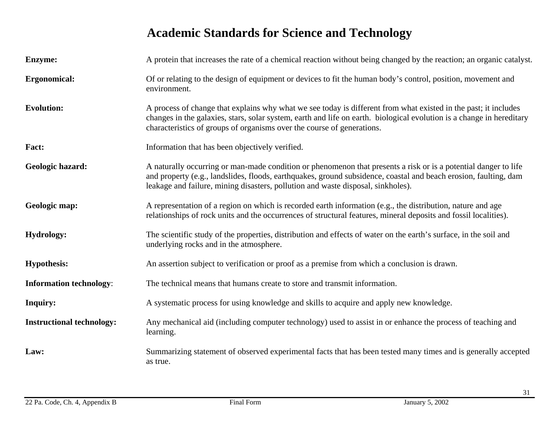| <b>Enzyme:</b>                   | A protein that increases the rate of a chemical reaction without being changed by the reaction; an organic catalyst.                                                                                                                                                                                                    |
|----------------------------------|-------------------------------------------------------------------------------------------------------------------------------------------------------------------------------------------------------------------------------------------------------------------------------------------------------------------------|
| Ergonomical:                     | Of or relating to the design of equipment or devices to fit the human body's control, position, movement and<br>environment.                                                                                                                                                                                            |
| <b>Evolution:</b>                | A process of change that explains why what we see today is different from what existed in the past; it includes<br>changes in the galaxies, stars, solar system, earth and life on earth. biological evolution is a change in hereditary<br>characteristics of groups of organisms over the course of generations.      |
| Fact:                            | Information that has been objectively verified.                                                                                                                                                                                                                                                                         |
| Geologic hazard:                 | A naturally occurring or man-made condition or phenomenon that presents a risk or is a potential danger to life<br>and property (e.g., landslides, floods, earthquakes, ground subsidence, coastal and beach erosion, faulting, dam<br>leakage and failure, mining disasters, pollution and waste disposal, sinkholes). |
| Geologic map:                    | A representation of a region on which is recorded earth information (e.g., the distribution, nature and age<br>relationships of rock units and the occurrences of structural features, mineral deposits and fossil localities).                                                                                         |
| <b>Hydrology:</b>                | The scientific study of the properties, distribution and effects of water on the earth's surface, in the soil and<br>underlying rocks and in the atmosphere.                                                                                                                                                            |
| <b>Hypothesis:</b>               | An assertion subject to verification or proof as a premise from which a conclusion is drawn.                                                                                                                                                                                                                            |
| <b>Information technology:</b>   | The technical means that humans create to store and transmit information.                                                                                                                                                                                                                                               |
| <b>Inquiry:</b>                  | A systematic process for using knowledge and skills to acquire and apply new knowledge.                                                                                                                                                                                                                                 |
| <b>Instructional technology:</b> | Any mechanical aid (including computer technology) used to assist in or enhance the process of teaching and<br>learning.                                                                                                                                                                                                |
| Law:                             | Summarizing statement of observed experimental facts that has been tested many times and is generally accepted<br>as true.                                                                                                                                                                                              |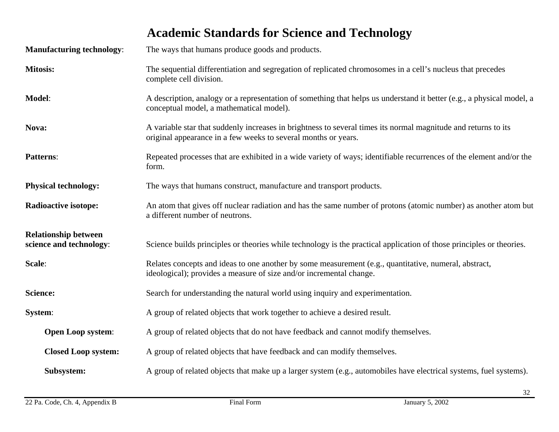|                                                        | <b>Academic Standards for Science and Technology</b>                                                                                                                             |
|--------------------------------------------------------|----------------------------------------------------------------------------------------------------------------------------------------------------------------------------------|
| <b>Manufacturing technology:</b>                       | The ways that humans produce goods and products.                                                                                                                                 |
| <b>Mitosis:</b>                                        | The sequential differentiation and segregation of replicated chromosomes in a cell's nucleus that precedes<br>complete cell division.                                            |
| Model:                                                 | A description, analogy or a representation of something that helps us understand it better (e.g., a physical model, a<br>conceptual model, a mathematical model).                |
| Nova:                                                  | A variable star that suddenly increases in brightness to several times its normal magnitude and returns to its<br>original appearance in a few weeks to several months or years. |
| <b>Patterns:</b>                                       | Repeated processes that are exhibited in a wide variety of ways; identifiable recurrences of the element and/or the<br>form.                                                     |
| <b>Physical technology:</b>                            | The ways that humans construct, manufacture and transport products.                                                                                                              |
| <b>Radioactive isotope:</b>                            | An atom that gives off nuclear radiation and has the same number of protons (atomic number) as another atom but<br>a different number of neutrons.                               |
| <b>Relationship between</b><br>science and technology: | Science builds principles or theories while technology is the practical application of those principles or theories.                                                             |
| Scale:                                                 | Relates concepts and ideas to one another by some measurement (e.g., quantitative, numeral, abstract,<br>ideological); provides a measure of size and/or incremental change.     |
| <b>Science:</b>                                        | Search for understanding the natural world using inquiry and experimentation.                                                                                                    |
| System:                                                | A group of related objects that work together to achieve a desired result.                                                                                                       |
| <b>Open Loop system:</b>                               | A group of related objects that do not have feedback and cannot modify themselves.                                                                                               |
| <b>Closed Loop system:</b>                             | A group of related objects that have feedback and can modify themselves.                                                                                                         |
| Subsystem:                                             | A group of related objects that make up a larger system (e.g., automobiles have electrical systems, fuel systems).                                                               |